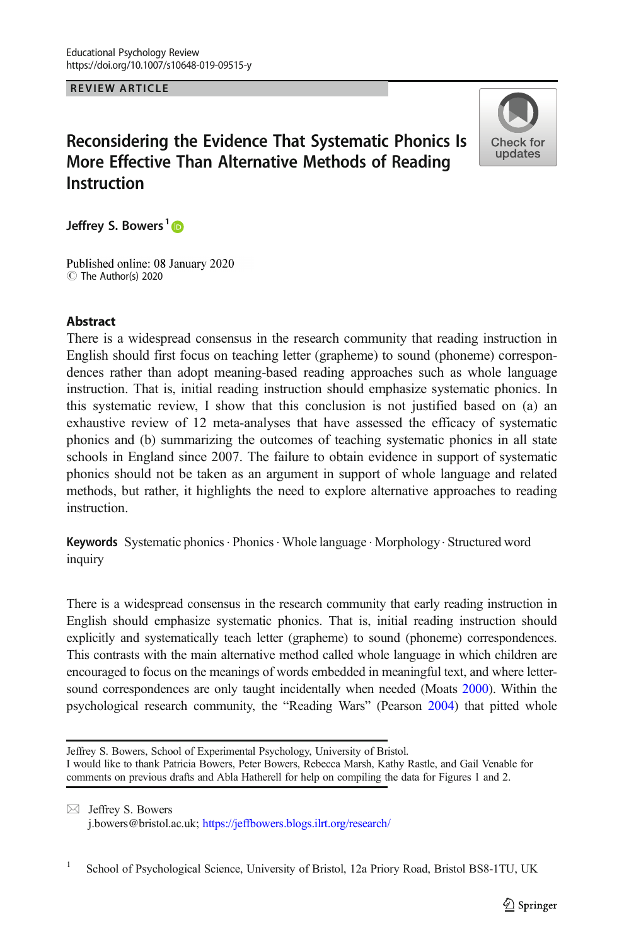REVIEW ARTICLE

# Reconsidering the Evidence That Systematic Phonics Is More Effective Than Alternative Methods of Reading Instruction



Jeffrey S. Bowers<sup>1</sup><sub>D</sub>

Published online: 08 January 2020 C The Author(s) 2020

### Abstract

There is a widespread consensus in the research community that reading instruction in English should first focus on teaching letter (grapheme) to sound (phoneme) correspondences rather than adopt meaning-based reading approaches such as whole language instruction. That is, initial reading instruction should emphasize systematic phonics. In this systematic review, I show that this conclusion is not justified based on (a) an exhaustive review of 12 meta-analyses that have assessed the efficacy of systematic phonics and (b) summarizing the outcomes of teaching systematic phonics in all state schools in England since 2007. The failure to obtain evidence in support of systematic phonics should not be taken as an argument in support of whole language and related methods, but rather, it highlights the need to explore alternative approaches to reading instruction.

Keywords Systematic phonics. Phonics. Whole language . Morphology. Structured word inquiry

There is a widespread consensus in the research community that early reading instruction in English should emphasize systematic phonics. That is, initial reading instruction should explicitly and systematically teach letter (grapheme) to sound (phoneme) correspondences. This contrasts with the main alternative method called whole language in which children are encouraged to focus on the meanings of words embedded in meaningful text, and where lettersound correspondences are only taught incidentally when needed (Moats [2000](#page-24-0)). Within the psychological research community, the "Reading Wars" (Pearson [2004](#page-24-0)) that pitted whole

Jeffrey S. Bowers, School of Experimental Psychology, University of Bristol.

I would like to thank Patricia Bowers, Peter Bowers, Rebecca Marsh, Kathy Rastle, and Gail Venable for comments on previous drafts and Abla Hatherell for help on compiling the data for Figures 1 and 2.

 $\boxtimes$  Jeffrey S. Bowers [j.bowers@bristol.ac.uk](mailto:j.bowers@bristol.ac.uk); <https://jeffbowers.blogs.ilrt.org/research/>

<sup>&</sup>lt;sup>1</sup> School of Psychological Science, University of Bristol, 12a Priory Road, Bristol BS8-1TU, UK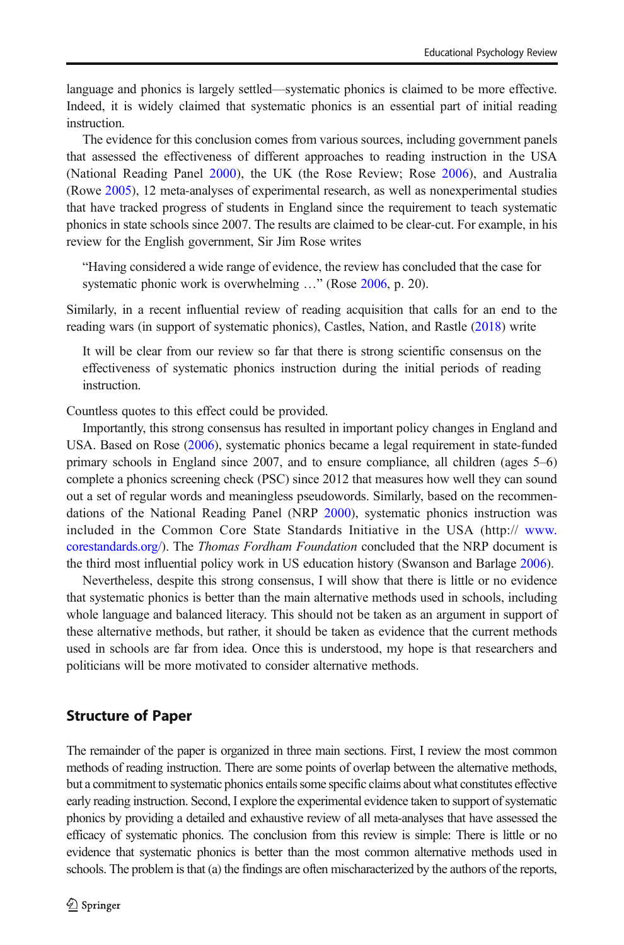language and phonics is largely settled—systematic phonics is claimed to be more effective. Indeed, it is widely claimed that systematic phonics is an essential part of initial reading instruction.

The evidence for this conclusion comes from various sources, including government panels that assessed the effectiveness of different approaches to reading instruction in the USA (National Reading Panel [2000\)](#page-24-0), the UK (the Rose Review; Rose [2006](#page-24-0)), and Australia (Rowe [2005\)](#page-24-0), 12 meta-analyses of experimental research, as well as nonexperimental studies that have tracked progress of students in England since the requirement to teach systematic phonics in state schools since 2007. The results are claimed to be clear-cut. For example, in his review for the English government, Sir Jim Rose writes

"Having considered a wide range of evidence, the review has concluded that the case for systematic phonic work is overwhelming …" (Rose [2006,](#page-24-0) p. 20).

Similarly, in a recent influential review of reading acquisition that calls for an end to the reading wars (in support of systematic phonics), Castles, Nation, and Rastle ([2018](#page-23-0)) write

It will be clear from our review so far that there is strong scientific consensus on the effectiveness of systematic phonics instruction during the initial periods of reading instruction.

Countless quotes to this effect could be provided.

Importantly, this strong consensus has resulted in important policy changes in England and USA. Based on Rose [\(2006\)](#page-24-0), systematic phonics became a legal requirement in state-funded primary schools in England since 2007, and to ensure compliance, all children (ages 5–6) complete a phonics screening check (PSC) since 2012 that measures how well they can sound out a set of regular words and meaningless pseudowords. Similarly, based on the recommendations of the National Reading Panel (NRP [2000](#page-24-0)), systematic phonics instruction was included in the Common Core State Standards Initiative in the USA (http:// [www.](http://www.corestandards.org/) [corestandards.org/\)](http://www.corestandards.org/). The *Thomas Fordham Foundation* concluded that the NRP document is the third most influential policy work in US education history (Swanson and Barlage [2006](#page-24-0)).

Nevertheless, despite this strong consensus, I will show that there is little or no evidence that systematic phonics is better than the main alternative methods used in schools, including whole language and balanced literacy. This should not be taken as an argument in support of these alternative methods, but rather, it should be taken as evidence that the current methods used in schools are far from idea. Once this is understood, my hope is that researchers and politicians will be more motivated to consider alternative methods.

#### Structure of Paper

The remainder of the paper is organized in three main sections. First, I review the most common methods of reading instruction. There are some points of overlap between the alternative methods, but a commitment to systematic phonics entails some specific claims about what constitutes effective early reading instruction. Second, I explore the experimental evidence taken to support of systematic phonics by providing a detailed and exhaustive review of all meta-analyses that have assessed the efficacy of systematic phonics. The conclusion from this review is simple: There is little or no evidence that systematic phonics is better than the most common alternative methods used in schools. The problem is that (a) the findings are often mischaracterized by the authors of the reports,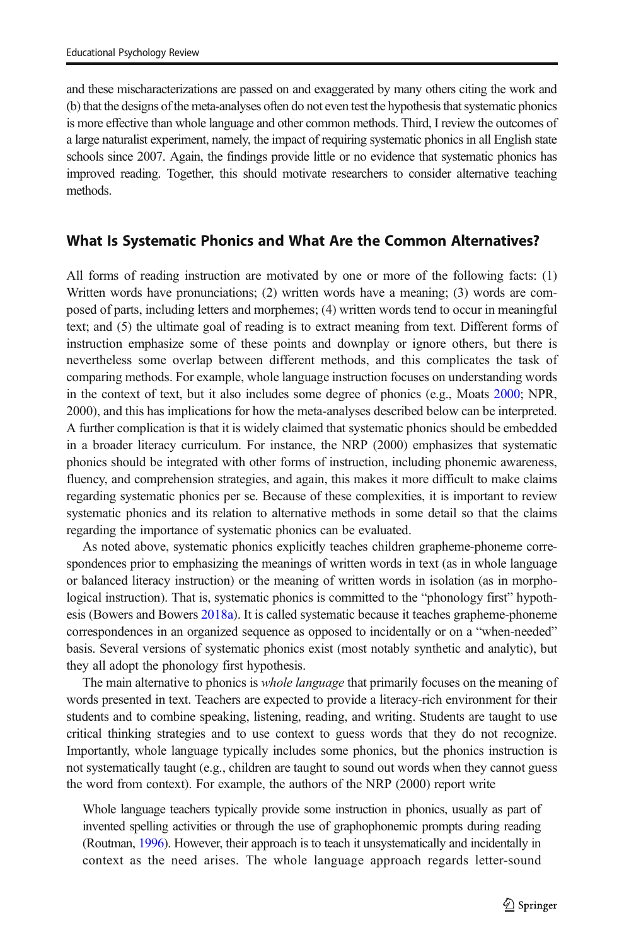and these mischaracterizations are passed on and exaggerated by many others citing the work and (b) that the designs of the meta-analyses often do not even test the hypothesis that systematic phonics is more effective than whole language and other common methods. Third, I review the outcomes of a large naturalist experiment, namely, the impact of requiring systematic phonics in all English state schools since 2007. Again, the findings provide little or no evidence that systematic phonics has improved reading. Together, this should motivate researchers to consider alternative teaching methods.

# What Is Systematic Phonics and What Are the Common Alternatives?

All forms of reading instruction are motivated by one or more of the following facts: (1) Written words have pronunciations; (2) written words have a meaning; (3) words are composed of parts, including letters and morphemes; (4) written words tend to occur in meaningful text; and (5) the ultimate goal of reading is to extract meaning from text. Different forms of instruction emphasize some of these points and downplay or ignore others, but there is nevertheless some overlap between different methods, and this complicates the task of comparing methods. For example, whole language instruction focuses on understanding words in the context of text, but it also includes some degree of phonics (e.g., Moats [2000](#page-24-0); NPR, 2000), and this has implications for how the meta-analyses described below can be interpreted. A further complication is that it is widely claimed that systematic phonics should be embedded in a broader literacy curriculum. For instance, the NRP (2000) emphasizes that systematic phonics should be integrated with other forms of instruction, including phonemic awareness, fluency, and comprehension strategies, and again, this makes it more difficult to make claims regarding systematic phonics per se. Because of these complexities, it is important to review systematic phonics and its relation to alternative methods in some detail so that the claims regarding the importance of systematic phonics can be evaluated.

As noted above, systematic phonics explicitly teaches children grapheme-phoneme correspondences prior to emphasizing the meanings of written words in text (as in whole language or balanced literacy instruction) or the meaning of written words in isolation (as in morphological instruction). That is, systematic phonics is committed to the "phonology first" hypothesis (Bowers and Bowers [2018a](#page-22-0)). It is called systematic because it teaches grapheme-phoneme correspondences in an organized sequence as opposed to incidentally or on a "when-needed" basis. Several versions of systematic phonics exist (most notably synthetic and analytic), but they all adopt the phonology first hypothesis.

The main alternative to phonics is whole language that primarily focuses on the meaning of words presented in text. Teachers are expected to provide a literacy-rich environment for their students and to combine speaking, listening, reading, and writing. Students are taught to use critical thinking strategies and to use context to guess words that they do not recognize. Importantly, whole language typically includes some phonics, but the phonics instruction is not systematically taught (e.g., children are taught to sound out words when they cannot guess the word from context). For example, the authors of the NRP (2000) report write

Whole language teachers typically provide some instruction in phonics, usually as part of invented spelling activities or through the use of graphophonemic prompts during reading (Routman, [1996](#page-24-0)). However, their approach is to teach it unsystematically and incidentally in context as the need arises. The whole language approach regards letter-sound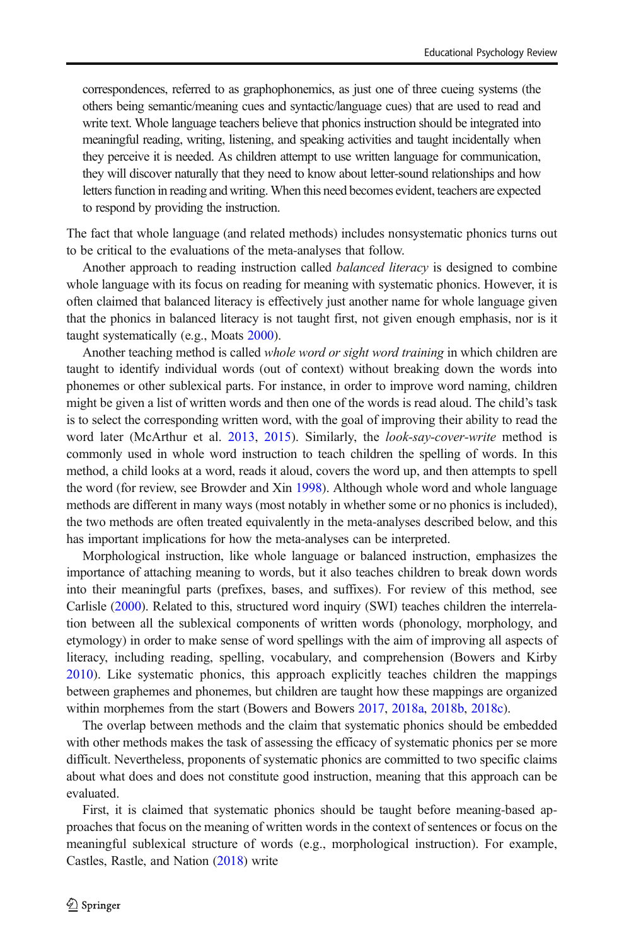correspondences, referred to as graphophonemics, as just one of three cueing systems (the others being semantic/meaning cues and syntactic/language cues) that are used to read and write text. Whole language teachers believe that phonics instruction should be integrated into meaningful reading, writing, listening, and speaking activities and taught incidentally when they perceive it is needed. As children attempt to use written language for communication, they will discover naturally that they need to know about letter-sound relationships and how letters function in reading and writing. When this need becomes evident, teachers are expected to respond by providing the instruction.

The fact that whole language (and related methods) includes nonsystematic phonics turns out to be critical to the evaluations of the meta-analyses that follow.

Another approach to reading instruction called *balanced literacy* is designed to combine whole language with its focus on reading for meaning with systematic phonics. However, it is often claimed that balanced literacy is effectively just another name for whole language given that the phonics in balanced literacy is not taught first, not given enough emphasis, nor is it taught systematically (e.g., Moats [2000\)](#page-24-0).

Another teaching method is called whole word or sight word training in which children are taught to identify individual words (out of context) without breaking down the words into phonemes or other sublexical parts. For instance, in order to improve word naming, children might be given a list of written words and then one of the words is read aloud. The child's task is to select the corresponding written word, with the goal of improving their ability to read the word later (McArthur et al. [2013,](#page-23-0) [2015](#page-23-0)). Similarly, the *look-say-cover-write* method is commonly used in whole word instruction to teach children the spelling of words. In this method, a child looks at a word, reads it aloud, covers the word up, and then attempts to spell the word (for review, see Browder and Xin [1998\)](#page-22-0). Although whole word and whole language methods are different in many ways (most notably in whether some or no phonics is included), the two methods are often treated equivalently in the meta-analyses described below, and this has important implications for how the meta-analyses can be interpreted.

Morphological instruction, like whole language or balanced instruction, emphasizes the importance of attaching meaning to words, but it also teaches children to break down words into their meaningful parts (prefixes, bases, and suffixes). For review of this method, see Carlisle ([2000](#page-23-0)). Related to this, structured word inquiry (SWI) teaches children the interrelation between all the sublexical components of written words (phonology, morphology, and etymology) in order to make sense of word spellings with the aim of improving all aspects of literacy, including reading, spelling, vocabulary, and comprehension (Bowers and Kirby [2010\)](#page-22-0). Like systematic phonics, this approach explicitly teaches children the mappings between graphemes and phonemes, but children are taught how these mappings are organized within morphemes from the start (Bowers and Bowers [2017,](#page-22-0) [2018a,](#page-22-0) [2018b,](#page-22-0) [2018c\)](#page-22-0).

The overlap between methods and the claim that systematic phonics should be embedded with other methods makes the task of assessing the efficacy of systematic phonics per se more difficult. Nevertheless, proponents of systematic phonics are committed to two specific claims about what does and does not constitute good instruction, meaning that this approach can be evaluated.

First, it is claimed that systematic phonics should be taught before meaning-based approaches that focus on the meaning of written words in the context of sentences or focus on the meaningful sublexical structure of words (e.g., morphological instruction). For example, Castles, Rastle, and Nation [\(2018](#page-23-0)) write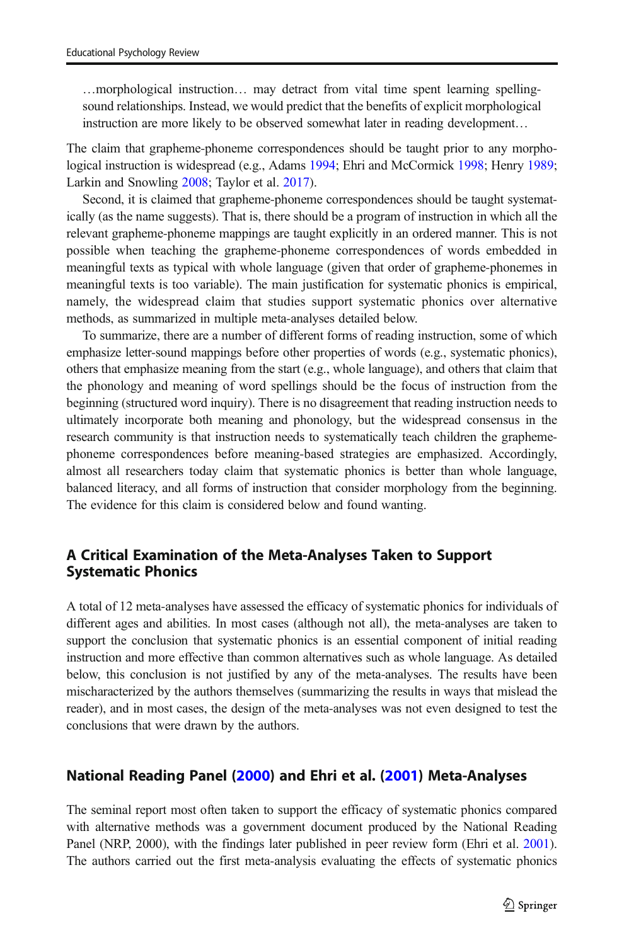…morphological instruction… may detract from vital time spent learning spellingsound relationships. Instead, we would predict that the benefits of explicit morphological instruction are more likely to be observed somewhat later in reading development…

The claim that grapheme-phoneme correspondences should be taught prior to any morphological instruction is widespread (e.g., Adams [1994](#page-22-0); Ehri and McCormick [1998](#page-23-0); Henry [1989](#page-23-0); Larkin and Snowling [2008;](#page-23-0) Taylor et al. [2017](#page-24-0)).

Second, it is claimed that grapheme-phoneme correspondences should be taught systematically (as the name suggests). That is, there should be a program of instruction in which all the relevant grapheme-phoneme mappings are taught explicitly in an ordered manner. This is not possible when teaching the grapheme-phoneme correspondences of words embedded in meaningful texts as typical with whole language (given that order of grapheme-phonemes in meaningful texts is too variable). The main justification for systematic phonics is empirical, namely, the widespread claim that studies support systematic phonics over alternative methods, as summarized in multiple meta-analyses detailed below.

To summarize, there are a number of different forms of reading instruction, some of which emphasize letter-sound mappings before other properties of words (e.g., systematic phonics), others that emphasize meaning from the start (e.g., whole language), and others that claim that the phonology and meaning of word spellings should be the focus of instruction from the beginning (structured word inquiry). There is no disagreement that reading instruction needs to ultimately incorporate both meaning and phonology, but the widespread consensus in the research community is that instruction needs to systematically teach children the graphemephoneme correspondences before meaning-based strategies are emphasized. Accordingly, almost all researchers today claim that systematic phonics is better than whole language, balanced literacy, and all forms of instruction that consider morphology from the beginning. The evidence for this claim is considered below and found wanting.

# A Critical Examination of the Meta-Analyses Taken to Support Systematic Phonics

A total of 12 meta-analyses have assessed the efficacy of systematic phonics for individuals of different ages and abilities. In most cases (although not all), the meta-analyses are taken to support the conclusion that systematic phonics is an essential component of initial reading instruction and more effective than common alternatives such as whole language. As detailed below, this conclusion is not justified by any of the meta-analyses. The results have been mischaracterized by the authors themselves (summarizing the results in ways that mislead the reader), and in most cases, the design of the meta-analyses was not even designed to test the conclusions that were drawn by the authors.

# National Reading Panel ([2000](#page-24-0)) and Ehri et al. [\(2001\)](#page-23-0) Meta-Analyses

The seminal report most often taken to support the efficacy of systematic phonics compared with alternative methods was a government document produced by the National Reading Panel (NRP, 2000), with the findings later published in peer review form (Ehri et al. [2001](#page-23-0)). The authors carried out the first meta-analysis evaluating the effects of systematic phonics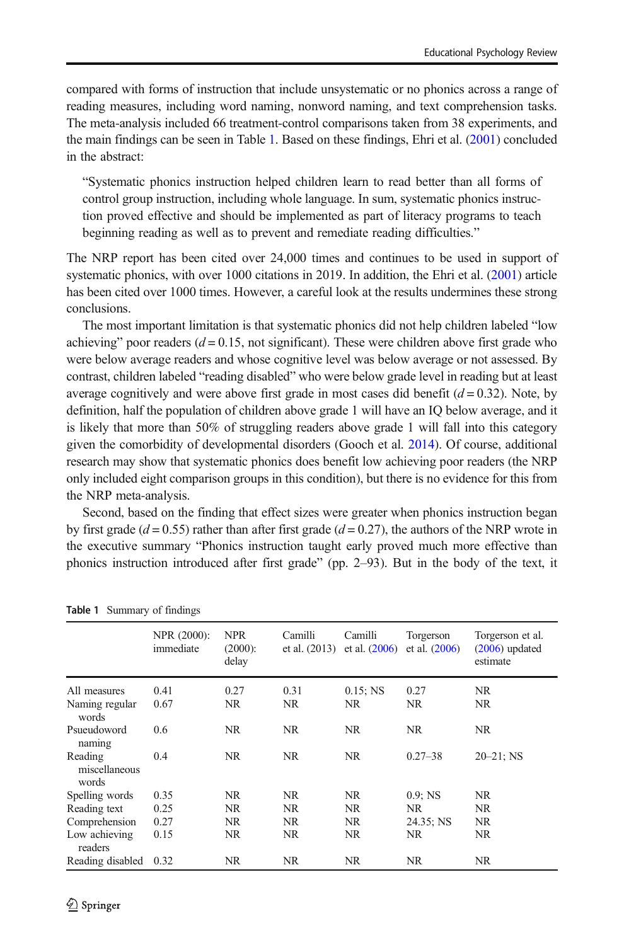<span id="page-5-0"></span>compared with forms of instruction that include unsystematic or no phonics across a range of reading measures, including word naming, nonword naming, and text comprehension tasks. The meta-analysis included 66 treatment-control comparisons taken from 38 experiments, and the main findings can be seen in Table 1. Based on these findings, Ehri et al. [\(2001\)](#page-23-0) concluded in the abstract:

"Systematic phonics instruction helped children learn to read better than all forms of control group instruction, including whole language. In sum, systematic phonics instruction proved effective and should be implemented as part of literacy programs to teach beginning reading as well as to prevent and remediate reading difficulties."

The NRP report has been cited over 24,000 times and continues to be used in support of systematic phonics, with over 1000 citations in 2019. In addition, the Ehri et al. [\(2001\)](#page-23-0) article has been cited over 1000 times. However, a careful look at the results undermines these strong conclusions.

The most important limitation is that systematic phonics did not help children labeled "low achieving" poor readers  $(d = 0.15$ , not significant). These were children above first grade who were below average readers and whose cognitive level was below average or not assessed. By contrast, children labeled "reading disabled" who were below grade level in reading but at least average cognitively and were above first grade in most cases did benefit  $(d = 0.32)$ . Note, by definition, half the population of children above grade 1 will have an IQ below average, and it is likely that more than 50% of struggling readers above grade 1 will fall into this category given the comorbidity of developmental disorders (Gooch et al. [2014](#page-23-0)). Of course, additional research may show that systematic phonics does benefit low achieving poor readers (the NRP only included eight comparison groups in this condition), but there is no evidence for this from the NRP meta-analysis.

Second, based on the finding that effect sizes were greater when phonics instruction began by first grade ( $d = 0.55$ ) rather than after first grade ( $d = 0.27$ ), the authors of the NRP wrote in the executive summary "Phonics instruction taught early proved much more effective than phonics instruction introduced after first grade" (pp. 2–93). But in the body of the text, it

|                                   | NPR (2000):<br>immediate | <b>NPR</b><br>$(2000)$ :<br>delay | Camilli<br>et al. $(2013)$ | Camilli<br>et al. $(2006)$ | Torgerson<br>et al. $(2006)$ | Torgerson et al.<br>$(2006)$ updated<br>estimate |
|-----------------------------------|--------------------------|-----------------------------------|----------------------------|----------------------------|------------------------------|--------------------------------------------------|
| All measures                      | 0.41                     | 0.27                              | 0.31                       | $0.15$ ; NS                | 0.27                         | NR                                               |
| Naming regular<br>words           | 0.67                     | NR                                | NR                         | NR.                        | NR.                          | NR.                                              |
| Psueudoword<br>naming             | 0.6                      | NR.                               | NR.                        | NR.                        | NR.                          | NR                                               |
| Reading<br>miscellaneous<br>words | 0.4                      | NR.                               | NR.                        | NR.                        | $0.27 - 38$                  | $20 - 21$ ; NS                                   |
| Spelling words                    | 0.35                     | NR                                | NR.                        | NR.                        | $0.9;$ NS                    | NR                                               |
| Reading text                      | 0.25                     | NR.                               | NR.                        | NR.                        | NR.                          | NR                                               |
| Comprehension                     | 0.27                     | NR.                               | NR.                        | NR.                        | 24.35; NS                    | NR                                               |
| Low achieving<br>readers          | 0.15                     | NR                                | NR                         | NR.                        | NR.                          | NR                                               |
| Reading disabled                  | 0.32                     | NR                                | NR.                        | NR.                        | NR.                          | NR                                               |

|  | Table 1 Summary of findings |
|--|-----------------------------|
|--|-----------------------------|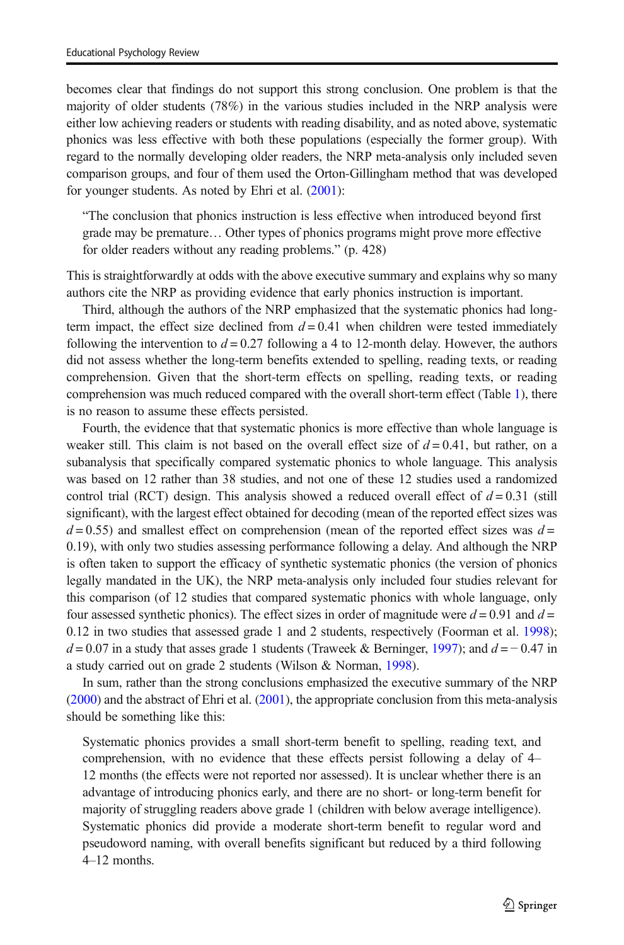becomes clear that findings do not support this strong conclusion. One problem is that the majority of older students (78%) in the various studies included in the NRP analysis were either low achieving readers or students with reading disability, and as noted above, systematic phonics was less effective with both these populations (especially the former group). With regard to the normally developing older readers, the NRP meta-analysis only included seven comparison groups, and four of them used the Orton-Gillingham method that was developed for younger students. As noted by Ehri et al. [\(2001\)](#page-23-0):

"The conclusion that phonics instruction is less effective when introduced beyond first grade may be premature… Other types of phonics programs might prove more effective for older readers without any reading problems." (p. 428)

This is straightforwardly at odds with the above executive summary and explains why so many authors cite the NRP as providing evidence that early phonics instruction is important.

Third, although the authors of the NRP emphasized that the systematic phonics had longterm impact, the effect size declined from  $d = 0.41$  when children were tested immediately following the intervention to  $d = 0.27$  following a 4 to 12-month delay. However, the authors did not assess whether the long-term benefits extended to spelling, reading texts, or reading comprehension. Given that the short-term effects on spelling, reading texts, or reading comprehension was much reduced compared with the overall short-term effect (Table [1\)](#page-5-0), there is no reason to assume these effects persisted.

Fourth, the evidence that that systematic phonics is more effective than whole language is weaker still. This claim is not based on the overall effect size of  $d = 0.41$ , but rather, on a subanalysis that specifically compared systematic phonics to whole language. This analysis was based on 12 rather than 38 studies, and not one of these 12 studies used a randomized control trial (RCT) design. This analysis showed a reduced overall effect of  $d = 0.31$  (still significant), with the largest effect obtained for decoding (mean of the reported effect sizes was  $d = 0.55$ ) and smallest effect on comprehension (mean of the reported effect sizes was  $d =$ 0.19), with only two studies assessing performance following a delay. And although the NRP is often taken to support the efficacy of synthetic systematic phonics (the version of phonics legally mandated in the UK), the NRP meta-analysis only included four studies relevant for this comparison (of 12 studies that compared systematic phonics with whole language, only four assessed synthetic phonics). The effect sizes in order of magnitude were  $d = 0.91$  and  $d =$ 0.12 in two studies that assessed grade 1 and 2 students, respectively (Foorman et al. [1998](#page-23-0));  $d = 0.07$  in a study that asses grade 1 students (Traweek & Berninger, [1997\)](#page-24-0); and  $d = -0.47$  in a study carried out on grade 2 students (Wilson & Norman, [1998](#page-24-0)).

In sum, rather than the strong conclusions emphasized the executive summary of the NRP ([2000](#page-24-0)) and the abstract of Ehri et al. ([2001](#page-23-0)), the appropriate conclusion from this meta-analysis should be something like this:

Systematic phonics provides a small short-term benefit to spelling, reading text, and comprehension, with no evidence that these effects persist following a delay of 4– 12 months (the effects were not reported nor assessed). It is unclear whether there is an advantage of introducing phonics early, and there are no short- or long-term benefit for majority of struggling readers above grade 1 (children with below average intelligence). Systematic phonics did provide a moderate short-term benefit to regular word and pseudoword naming, with overall benefits significant but reduced by a third following 4–12 months.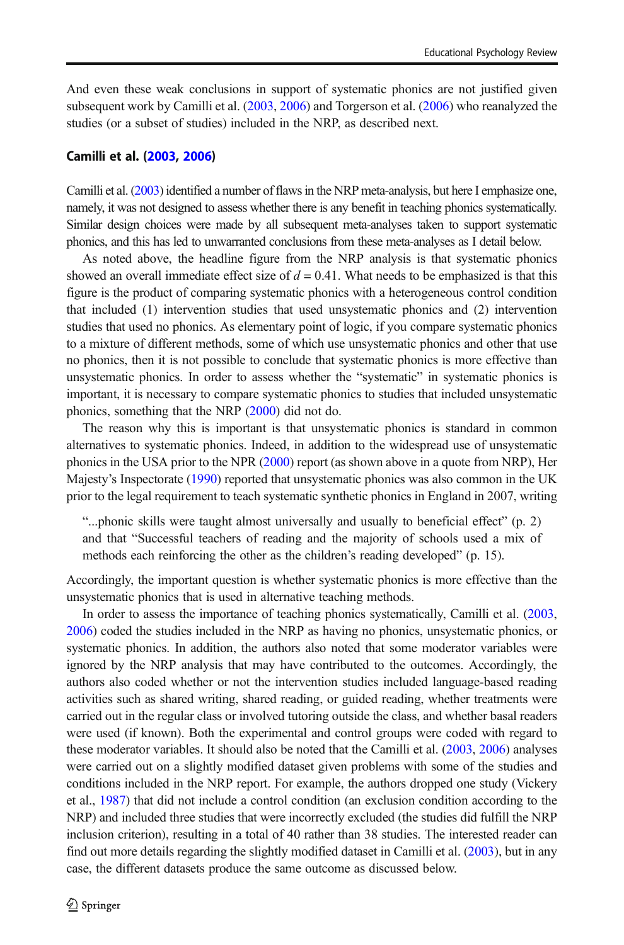And even these weak conclusions in support of systematic phonics are not justified given subsequent work by Camilli et al. [\(2003,](#page-23-0) [2006\)](#page-23-0) and Torgerson et al. [\(2006](#page-24-0)) who reanalyzed the studies (or a subset of studies) included in the NRP, as described next.

#### Camilli et al. ([2003,](#page-23-0) [2006](#page-23-0))

Camilli et al. [\(2003](#page-23-0)) identified a number of flaws in the NRP meta-analysis, but here I emphasize one, namely, it was not designed to assess whether there is any benefit in teaching phonics systematically. Similar design choices were made by all subsequent meta-analyses taken to support systematic phonics, and this has led to unwarranted conclusions from these meta-analyses as I detail below.

As noted above, the headline figure from the NRP analysis is that systematic phonics showed an overall immediate effect size of  $d = 0.41$ . What needs to be emphasized is that this figure is the product of comparing systematic phonics with a heterogeneous control condition that included (1) intervention studies that used unsystematic phonics and (2) intervention studies that used no phonics. As elementary point of logic, if you compare systematic phonics to a mixture of different methods, some of which use unsystematic phonics and other that use no phonics, then it is not possible to conclude that systematic phonics is more effective than unsystematic phonics. In order to assess whether the "systematic" in systematic phonics is important, it is necessary to compare systematic phonics to studies that included unsystematic phonics, something that the NRP ([2000](#page-24-0)) did not do.

The reason why this is important is that unsystematic phonics is standard in common alternatives to systematic phonics. Indeed, in addition to the widespread use of unsystematic phonics in the USA prior to the NPR ([2000](#page-24-0)) report (as shown above in a quote from NRP), Her Majesty's Inspectorate [\(1990\)](#page-23-0) reported that unsystematic phonics was also common in the UK prior to the legal requirement to teach systematic synthetic phonics in England in 2007, writing

"...phonic skills were taught almost universally and usually to beneficial effect" (p. 2) and that "Successful teachers of reading and the majority of schools used a mix of methods each reinforcing the other as the children's reading developed" (p. 15).

Accordingly, the important question is whether systematic phonics is more effective than the unsystematic phonics that is used in alternative teaching methods.

In order to assess the importance of teaching phonics systematically, Camilli et al. ([2003](#page-23-0), [2006](#page-23-0)) coded the studies included in the NRP as having no phonics, unsystematic phonics, or systematic phonics. In addition, the authors also noted that some moderator variables were ignored by the NRP analysis that may have contributed to the outcomes. Accordingly, the authors also coded whether or not the intervention studies included language-based reading activities such as shared writing, shared reading, or guided reading, whether treatments were carried out in the regular class or involved tutoring outside the class, and whether basal readers were used (if known). Both the experimental and control groups were coded with regard to these moderator variables. It should also be noted that the Camilli et al. [\(2003,](#page-23-0) [2006](#page-23-0)) analyses were carried out on a slightly modified dataset given problems with some of the studies and conditions included in the NRP report. For example, the authors dropped one study (Vickery et al., [1987\)](#page-24-0) that did not include a control condition (an exclusion condition according to the NRP) and included three studies that were incorrectly excluded (the studies did fulfill the NRP inclusion criterion), resulting in a total of 40 rather than 38 studies. The interested reader can find out more details regarding the slightly modified dataset in Camilli et al. ([2003](#page-23-0)), but in any case, the different datasets produce the same outcome as discussed below.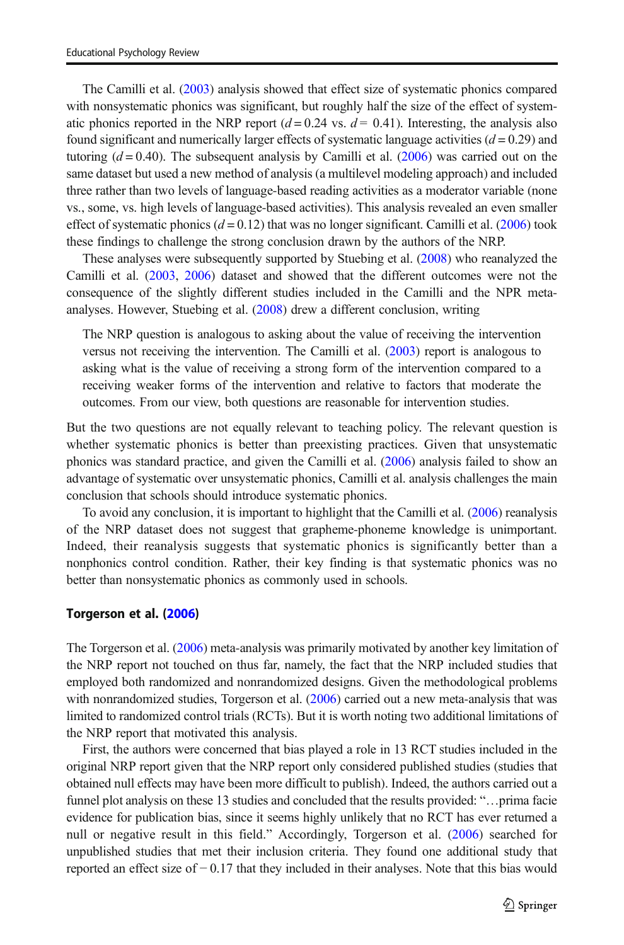The Camilli et al. [\(2003\)](#page-23-0) analysis showed that effect size of systematic phonics compared with nonsystematic phonics was significant, but roughly half the size of the effect of systematic phonics reported in the NRP report  $(d = 0.24 \text{ vs. } d = 0.41)$ . Interesting, the analysis also found significant and numerically larger effects of systematic language activities  $(d = 0.29)$  and tutoring  $(d = 0.40)$ . The subsequent analysis by Camilli et al. ([2006](#page-23-0)) was carried out on the same dataset but used a new method of analysis (a multilevel modeling approach) and included three rather than two levels of language-based reading activities as a moderator variable (none vs., some, vs. high levels of language-based activities). This analysis revealed an even smaller effect of systematic phonics  $(d = 0.12)$  that was no longer significant. Camilli et al. [\(2006\)](#page-23-0) took these findings to challenge the strong conclusion drawn by the authors of the NRP.

These analyses were subsequently supported by Stuebing et al. ([2008](#page-24-0)) who reanalyzed the Camilli et al. [\(2003,](#page-23-0) [2006\)](#page-23-0) dataset and showed that the different outcomes were not the consequence of the slightly different studies included in the Camilli and the NPR metaanalyses. However, Stuebing et al. ([2008](#page-24-0)) drew a different conclusion, writing

The NRP question is analogous to asking about the value of receiving the intervention versus not receiving the intervention. The Camilli et al. [\(2003\)](#page-23-0) report is analogous to asking what is the value of receiving a strong form of the intervention compared to a receiving weaker forms of the intervention and relative to factors that moderate the outcomes. From our view, both questions are reasonable for intervention studies.

But the two questions are not equally relevant to teaching policy. The relevant question is whether systematic phonics is better than preexisting practices. Given that unsystematic phonics was standard practice, and given the Camilli et al. [\(2006\)](#page-23-0) analysis failed to show an advantage of systematic over unsystematic phonics, Camilli et al. analysis challenges the main conclusion that schools should introduce systematic phonics.

To avoid any conclusion, it is important to highlight that the Camilli et al. [\(2006\)](#page-23-0) reanalysis of the NRP dataset does not suggest that grapheme-phoneme knowledge is unimportant. Indeed, their reanalysis suggests that systematic phonics is significantly better than a nonphonics control condition. Rather, their key finding is that systematic phonics was no better than nonsystematic phonics as commonly used in schools.

#### Torgerson et al. [\(2006](#page-24-0))

The Torgerson et al. ([2006](#page-24-0)) meta-analysis was primarily motivated by another key limitation of the NRP report not touched on thus far, namely, the fact that the NRP included studies that employed both randomized and nonrandomized designs. Given the methodological problems with nonrandomized studies, Torgerson et al. ([2006](#page-24-0)) carried out a new meta-analysis that was limited to randomized control trials (RCTs). But it is worth noting two additional limitations of the NRP report that motivated this analysis.

First, the authors were concerned that bias played a role in 13 RCT studies included in the original NRP report given that the NRP report only considered published studies (studies that obtained null effects may have been more difficult to publish). Indeed, the authors carried out a funnel plot analysis on these 13 studies and concluded that the results provided: "…prima facie evidence for publication bias, since it seems highly unlikely that no RCT has ever returned a null or negative result in this field." Accordingly, Torgerson et al. ([2006](#page-24-0)) searched for unpublished studies that met their inclusion criteria. They found one additional study that reported an effect size of − 0.17 that they included in their analyses. Note that this bias would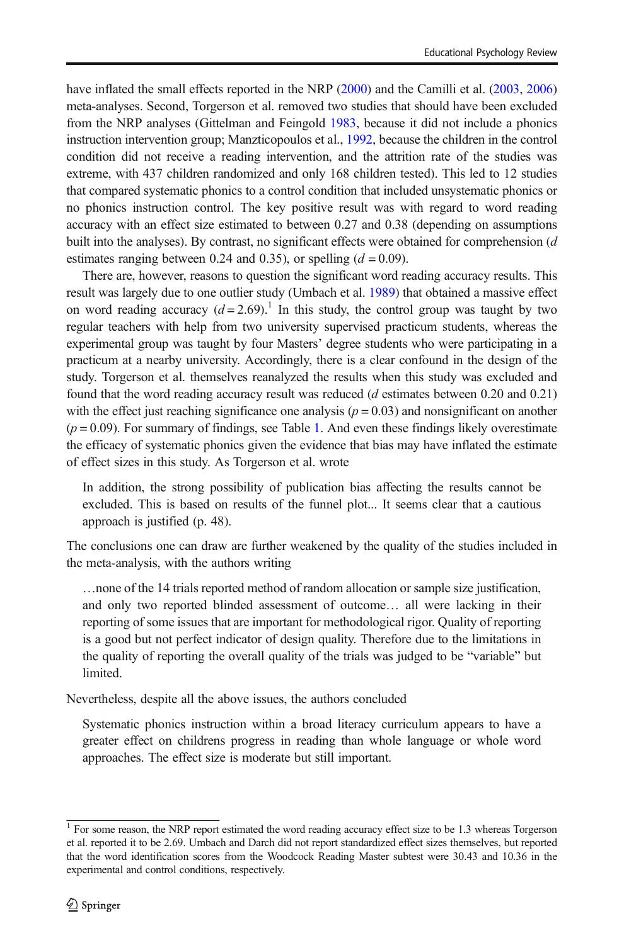have inflated the small effects reported in the NRP [\(2000\)](#page-24-0) and the Camilli et al. ([2003](#page-23-0), [2006\)](#page-23-0) meta-analyses. Second, Torgerson et al. removed two studies that should have been excluded from the NRP analyses (Gittelman and Feingold [1983,](#page-23-0) because it did not include a phonics instruction intervention group; Manzticopoulos et al., [1992,](#page-23-0) because the children in the control condition did not receive a reading intervention, and the attrition rate of the studies was extreme, with 437 children randomized and only 168 children tested). This led to 12 studies that compared systematic phonics to a control condition that included unsystematic phonics or no phonics instruction control. The key positive result was with regard to word reading accuracy with an effect size estimated to between 0.27 and 0.38 (depending on assumptions built into the analyses). By contrast, no significant effects were obtained for comprehension  $(d)$ estimates ranging between 0.24 and 0.35), or spelling  $(d = 0.09)$ .

There are, however, reasons to question the significant word reading accuracy results. This result was largely due to one outlier study (Umbach et al. [1989](#page-24-0)) that obtained a massive effect on word reading accuracy  $(d=2.69)^{1}$ . In this study, the control group was taught by two regular teachers with help from two university supervised practicum students, whereas the experimental group was taught by four Masters' degree students who were participating in a practicum at a nearby university. Accordingly, there is a clear confound in the design of the study. Torgerson et al. themselves reanalyzed the results when this study was excluded and found that the word reading accuracy result was reduced (d estimates between 0.20 and 0.21) with the effect just reaching significance one analysis ( $p = 0.03$ ) and nonsignificant on another  $(p = 0.09)$ . For summary of findings, see Table [1.](#page-5-0) And even these findings likely overestimate the efficacy of systematic phonics given the evidence that bias may have inflated the estimate of effect sizes in this study. As Torgerson et al. wrote

In addition, the strong possibility of publication bias affecting the results cannot be excluded. This is based on results of the funnel plot... It seems clear that a cautious approach is justified (p. 48).

The conclusions one can draw are further weakened by the quality of the studies included in the meta-analysis, with the authors writing

…none of the 14 trials reported method of random allocation or sample size justification, and only two reported blinded assessment of outcome… all were lacking in their reporting of some issues that are important for methodological rigor. Quality of reporting is a good but not perfect indicator of design quality. Therefore due to the limitations in the quality of reporting the overall quality of the trials was judged to be "variable" but limited.

Nevertheless, despite all the above issues, the authors concluded

Systematic phonics instruction within a broad literacy curriculum appears to have a greater effect on childrens progress in reading than whole language or whole word approaches. The effect size is moderate but still important.

<sup>&</sup>lt;sup>1</sup> For some reason, the NRP report estimated the word reading accuracy effect size to be 1.3 whereas Torgerson et al. reported it to be 2.69. Umbach and Darch did not report standardized effect sizes themselves, but reported that the word identification scores from the Woodcock Reading Master subtest were 30.43 and 10.36 in the experimental and control conditions, respectively.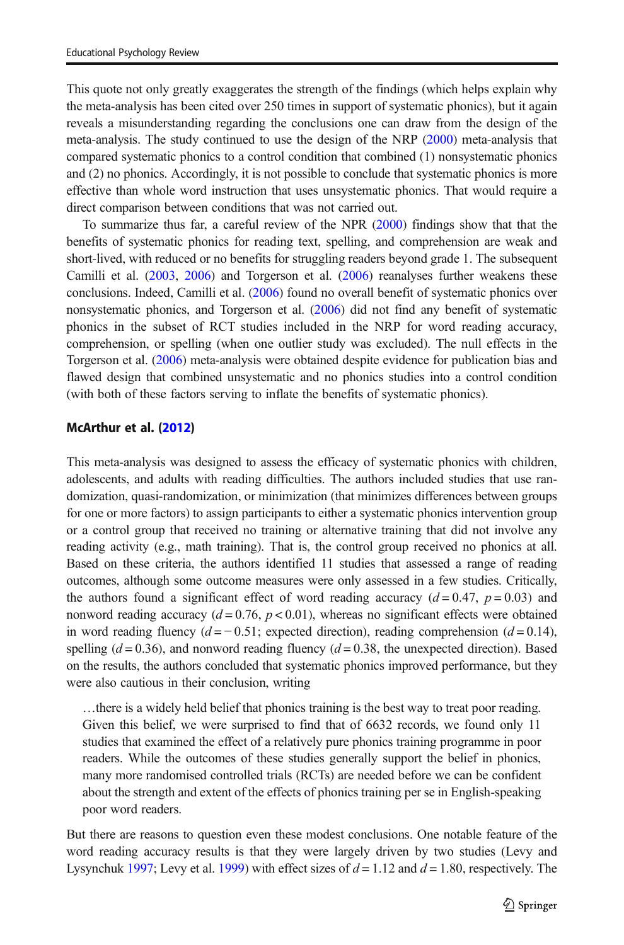This quote not only greatly exaggerates the strength of the findings (which helps explain why the meta-analysis has been cited over 250 times in support of systematic phonics), but it again reveals a misunderstanding regarding the conclusions one can draw from the design of the meta-analysis. The study continued to use the design of the NRP ([2000](#page-24-0)) meta-analysis that compared systematic phonics to a control condition that combined (1) nonsystematic phonics and (2) no phonics. Accordingly, it is not possible to conclude that systematic phonics is more effective than whole word instruction that uses unsystematic phonics. That would require a direct comparison between conditions that was not carried out.

To summarize thus far, a careful review of the NPR [\(2000\)](#page-24-0) findings show that that the benefits of systematic phonics for reading text, spelling, and comprehension are weak and short-lived, with reduced or no benefits for struggling readers beyond grade 1. The subsequent Camilli et al. [\(2003,](#page-23-0) [2006\)](#page-23-0) and Torgerson et al. [\(2006\)](#page-24-0) reanalyses further weakens these conclusions. Indeed, Camilli et al. [\(2006\)](#page-23-0) found no overall benefit of systematic phonics over nonsystematic phonics, and Torgerson et al. [\(2006\)](#page-24-0) did not find any benefit of systematic phonics in the subset of RCT studies included in the NRP for word reading accuracy, comprehension, or spelling (when one outlier study was excluded). The null effects in the Torgerson et al. ([2006](#page-24-0)) meta-analysis were obtained despite evidence for publication bias and flawed design that combined unsystematic and no phonics studies into a control condition (with both of these factors serving to inflate the benefits of systematic phonics).

#### McArthur et al. [\(2012](#page-23-0))

This meta-analysis was designed to assess the efficacy of systematic phonics with children, adolescents, and adults with reading difficulties. The authors included studies that use randomization, quasi-randomization, or minimization (that minimizes differences between groups for one or more factors) to assign participants to either a systematic phonics intervention group or a control group that received no training or alternative training that did not involve any reading activity (e.g., math training). That is, the control group received no phonics at all. Based on these criteria, the authors identified 11 studies that assessed a range of reading outcomes, although some outcome measures were only assessed in a few studies. Critically, the authors found a significant effect of word reading accuracy  $(d=0.47, p=0.03)$  and nonword reading accuracy  $(d = 0.76, p < 0.01)$ , whereas no significant effects were obtained in word reading fluency  $(d = -0.51$ ; expected direction), reading comprehension  $(d = 0.14)$ , spelling  $(d = 0.36)$ , and nonword reading fluency  $(d = 0.38)$ , the unexpected direction). Based on the results, the authors concluded that systematic phonics improved performance, but they were also cautious in their conclusion, writing

…there is a widely held belief that phonics training is the best way to treat poor reading. Given this belief, we were surprised to find that of 6632 records, we found only 11 studies that examined the effect of a relatively pure phonics training programme in poor readers. While the outcomes of these studies generally support the belief in phonics, many more randomised controlled trials (RCTs) are needed before we can be confident about the strength and extent of the effects of phonics training per se in English-speaking poor word readers.

But there are reasons to question even these modest conclusions. One notable feature of the word reading accuracy results is that they were largely driven by two studies (Levy and Lysynchuk [1997](#page-23-0); Levy et al. [1999](#page-23-0)) with effect sizes of  $d = 1.12$  and  $d = 1.80$ , respectively. The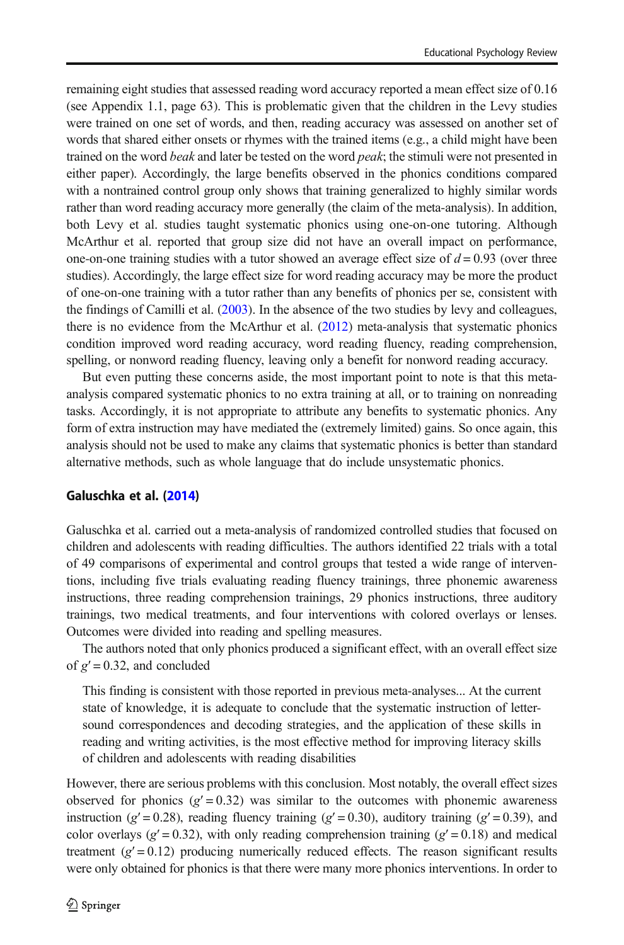remaining eight studies that assessed reading word accuracy reported a mean effect size of 0.16 (see Appendix 1.1, page 63). This is problematic given that the children in the Levy studies were trained on one set of words, and then, reading accuracy was assessed on another set of words that shared either onsets or rhymes with the trained items (e.g., a child might have been trained on the word beak and later be tested on the word peak; the stimuli were not presented in either paper). Accordingly, the large benefits observed in the phonics conditions compared with a nontrained control group only shows that training generalized to highly similar words rather than word reading accuracy more generally (the claim of the meta-analysis). In addition, both Levy et al. studies taught systematic phonics using one-on-one tutoring. Although McArthur et al. reported that group size did not have an overall impact on performance, one-on-one training studies with a tutor showed an average effect size of  $d = 0.93$  (over three studies). Accordingly, the large effect size for word reading accuracy may be more the product of one-on-one training with a tutor rather than any benefits of phonics per se, consistent with the findings of Camilli et al. [\(2003\)](#page-23-0). In the absence of the two studies by levy and colleagues, there is no evidence from the McArthur et al. ([2012](#page-23-0)) meta-analysis that systematic phonics condition improved word reading accuracy, word reading fluency, reading comprehension, spelling, or nonword reading fluency, leaving only a benefit for nonword reading accuracy.

But even putting these concerns aside, the most important point to note is that this metaanalysis compared systematic phonics to no extra training at all, or to training on nonreading tasks. Accordingly, it is not appropriate to attribute any benefits to systematic phonics. Any form of extra instruction may have mediated the (extremely limited) gains. So once again, this analysis should not be used to make any claims that systematic phonics is better than standard alternative methods, such as whole language that do include unsystematic phonics.

#### Galuschka et al. ([2014\)](#page-23-0)

Galuschka et al. carried out a meta-analysis of randomized controlled studies that focused on children and adolescents with reading difficulties. The authors identified 22 trials with a total of 49 comparisons of experimental and control groups that tested a wide range of interventions, including five trials evaluating reading fluency trainings, three phonemic awareness instructions, three reading comprehension trainings, 29 phonics instructions, three auditory trainings, two medical treatments, and four interventions with colored overlays or lenses. Outcomes were divided into reading and spelling measures.

The authors noted that only phonics produced a significant effect, with an overall effect size of  $g' = 0.32$ , and concluded

This finding is consistent with those reported in previous meta-analyses... At the current state of knowledge, it is adequate to conclude that the systematic instruction of lettersound correspondences and decoding strategies, and the application of these skills in reading and writing activities, is the most effective method for improving literacy skills of children and adolescents with reading disabilities

However, there are serious problems with this conclusion. Most notably, the overall effect sizes observed for phonics  $(g' = 0.32)$  was similar to the outcomes with phonemic awareness instruction (g' = 0.28), reading fluency training (g' = 0.30), auditory training (g' = 0.39), and color overlays ( $g' = 0.32$ ), with only reading comprehension training ( $g' = 0.18$ ) and medical treatment  $(g' = 0.12)$  producing numerically reduced effects. The reason significant results were only obtained for phonics is that there were many more phonics interventions. In order to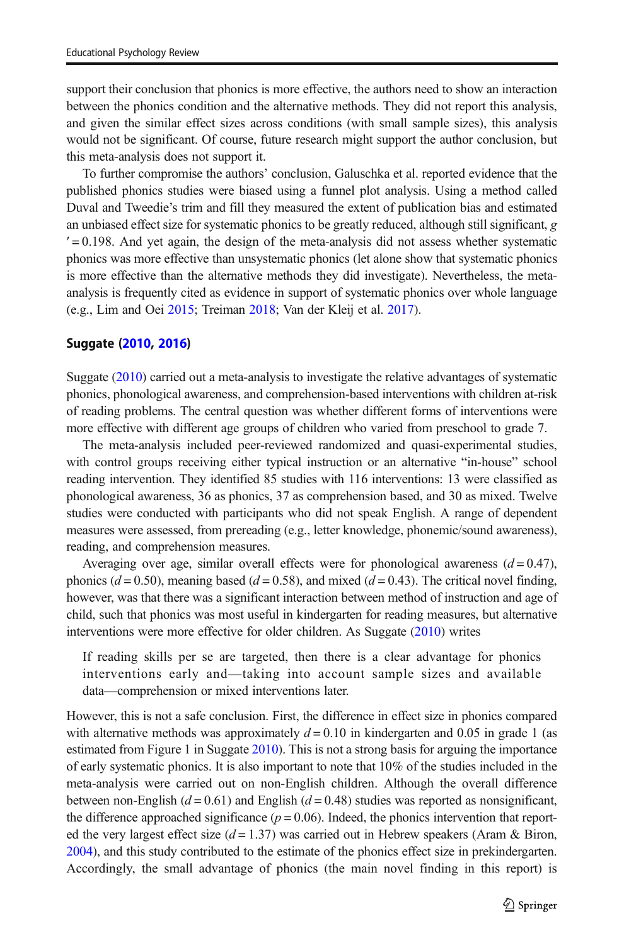support their conclusion that phonics is more effective, the authors need to show an interaction between the phonics condition and the alternative methods. They did not report this analysis, and given the similar effect sizes across conditions (with small sample sizes), this analysis would not be significant. Of course, future research might support the author conclusion, but this meta-analysis does not support it.

To further compromise the authors' conclusion, Galuschka et al. reported evidence that the published phonics studies were biased using a funnel plot analysis. Using a method called Duval and Tweedie's trim and fill they measured the extent of publication bias and estimated an unbiased effect size for systematic phonics to be greatly reduced, although still significant, g  $\ell$  = 0.198. And yet again, the design of the meta-analysis did not assess whether systematic phonics was more effective than unsystematic phonics (let alone show that systematic phonics is more effective than the alternative methods they did investigate). Nevertheless, the metaanalysis is frequently cited as evidence in support of systematic phonics over whole language (e.g., Lim and Oei [2015;](#page-23-0) Treiman [2018](#page-24-0); Van der Kleij et al. [2017\)](#page-24-0).

#### Suggate [\(2010](#page-24-0), [2016\)](#page-24-0)

Suggate ([2010](#page-24-0)) carried out a meta-analysis to investigate the relative advantages of systematic phonics, phonological awareness, and comprehension-based interventions with children at-risk of reading problems. The central question was whether different forms of interventions were more effective with different age groups of children who varied from preschool to grade 7.

The meta-analysis included peer-reviewed randomized and quasi-experimental studies, with control groups receiving either typical instruction or an alternative "in-house" school reading intervention. They identified 85 studies with 116 interventions: 13 were classified as phonological awareness, 36 as phonics, 37 as comprehension based, and 30 as mixed. Twelve studies were conducted with participants who did not speak English. A range of dependent measures were assessed, from prereading (e.g., letter knowledge, phonemic/sound awareness), reading, and comprehension measures.

Averaging over age, similar overall effects were for phonological awareness  $(d = 0.47)$ , phonics ( $d = 0.50$ ), meaning based ( $d = 0.58$ ), and mixed ( $d = 0.43$ ). The critical novel finding, however, was that there was a significant interaction between method of instruction and age of child, such that phonics was most useful in kindergarten for reading measures, but alternative interventions were more effective for older children. As Suggate [\(2010\)](#page-24-0) writes

If reading skills per se are targeted, then there is a clear advantage for phonics interventions early and—taking into account sample sizes and available data—comprehension or mixed interventions later.

However, this is not a safe conclusion. First, the difference in effect size in phonics compared with alternative methods was approximately  $d = 0.10$  in kindergarten and 0.05 in grade 1 (as estimated from Figure 1 in Suggate [2010\)](#page-24-0). This is not a strong basis for arguing the importance of early systematic phonics. It is also important to note that 10% of the studies included in the meta-analysis were carried out on non-English children. Although the overall difference between non-English ( $d = 0.61$ ) and English ( $d = 0.48$ ) studies was reported as nonsignificant, the difference approached significance ( $p = 0.06$ ). Indeed, the phonics intervention that reported the very largest effect size  $(d = 1.37)$  was carried out in Hebrew speakers (Aram & Biron, [2004](#page-22-0)), and this study contributed to the estimate of the phonics effect size in prekindergarten. Accordingly, the small advantage of phonics (the main novel finding in this report) is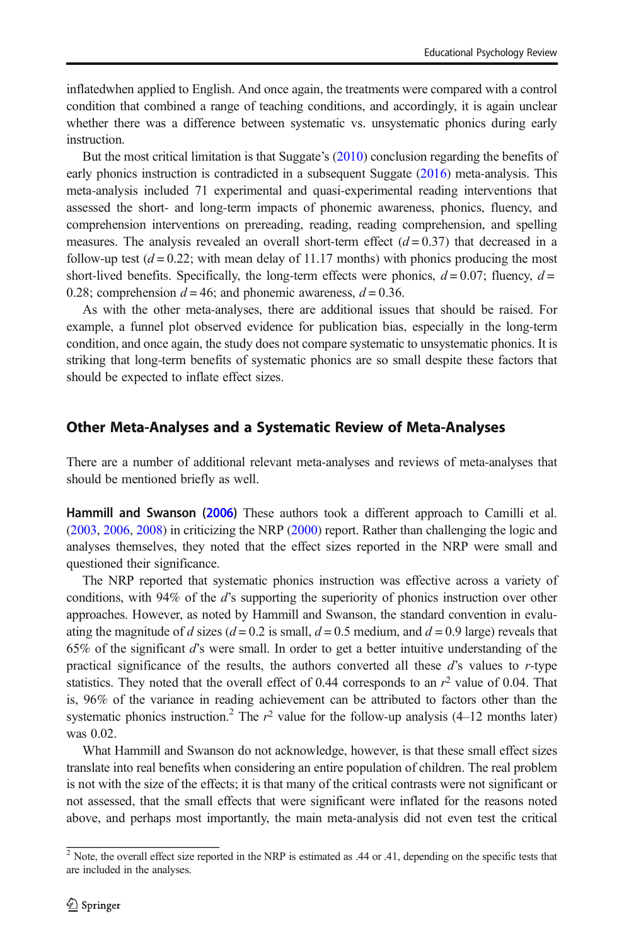inflatedwhen applied to English. And once again, the treatments were compared with a control condition that combined a range of teaching conditions, and accordingly, it is again unclear whether there was a difference between systematic vs. unsystematic phonics during early instruction.

But the most critical limitation is that Suggate's [\(2010\)](#page-24-0) conclusion regarding the benefits of early phonics instruction is contradicted in a subsequent Suggate [\(2016\)](#page-24-0) meta-analysis. This meta-analysis included 71 experimental and quasi-experimental reading interventions that assessed the short- and long-term impacts of phonemic awareness, phonics, fluency, and comprehension interventions on prereading, reading, reading comprehension, and spelling measures. The analysis revealed an overall short-term effect  $(d = 0.37)$  that decreased in a follow-up test  $(d = 0.22$ ; with mean delay of 11.17 months) with phonics producing the most short-lived benefits. Specifically, the long-term effects were phonics,  $d = 0.07$ ; fluency,  $d =$ 0.28; comprehension  $d = 46$ ; and phonemic awareness,  $d = 0.36$ .

As with the other meta-analyses, there are additional issues that should be raised. For example, a funnel plot observed evidence for publication bias, especially in the long-term condition, and once again, the study does not compare systematic to unsystematic phonics. It is striking that long-term benefits of systematic phonics are so small despite these factors that should be expected to inflate effect sizes.

# Other Meta-Analyses and a Systematic Review of Meta-Analyses

There are a number of additional relevant meta-analyses and reviews of meta-analyses that should be mentioned briefly as well.

Hammill and Swanson [\(2006](#page-23-0)) These authors took a different approach to Camilli et al. ([2003](#page-23-0), [2006](#page-23-0), [2008\)](#page-23-0) in criticizing the NRP [\(2000\)](#page-24-0) report. Rather than challenging the logic and analyses themselves, they noted that the effect sizes reported in the NRP were small and questioned their significance.

The NRP reported that systematic phonics instruction was effective across a variety of conditions, with 94% of the d's supporting the superiority of phonics instruction over other approaches. However, as noted by Hammill and Swanson, the standard convention in evaluating the magnitude of d sizes ( $d = 0.2$  is small,  $d = 0.5$  medium, and  $d = 0.9$  large) reveals that 65% of the significant d's were small. In order to get a better intuitive understanding of the practical significance of the results, the authors converted all these  $d$ 's values to r-type statistics. They noted that the overall effect of 0.44 corresponds to an  $r<sup>2</sup>$  value of 0.04. That is, 96% of the variance in reading achievement can be attributed to factors other than the systematic phonics instruction.<sup>2</sup> The  $r^2$  value for the follow-up analysis (4–12 months later) was 0.02.

What Hammill and Swanson do not acknowledge, however, is that these small effect sizes translate into real benefits when considering an entire population of children. The real problem is not with the size of the effects; it is that many of the critical contrasts were not significant or not assessed, that the small effects that were significant were inflated for the reasons noted above, and perhaps most importantly, the main meta-analysis did not even test the critical

<sup>&</sup>lt;sup>2</sup> Note, the overall effect size reported in the NRP is estimated as .44 or .41, depending on the specific tests that are included in the analyses.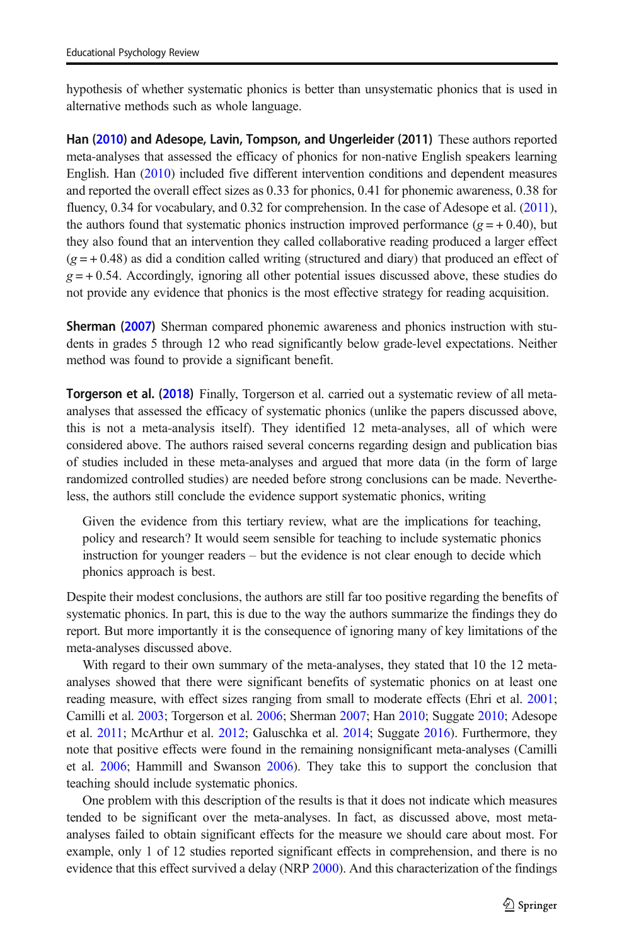hypothesis of whether systematic phonics is better than unsystematic phonics that is used in alternative methods such as whole language.

Han ([2010\)](#page-23-0) and Adesope, Lavin, Tompson, and Ungerleider (2011) These authors reported meta-analyses that assessed the efficacy of phonics for non-native English speakers learning English. Han ([2010](#page-23-0)) included five different intervention conditions and dependent measures and reported the overall effect sizes as 0.33 for phonics, 0.41 for phonemic awareness, 0.38 for fluency, 0.34 for vocabulary, and 0.32 for comprehension. In the case of Adesope et al. [\(2011](#page-22-0)), the authors found that systematic phonics instruction improved performance ( $g = +0.40$ ), but they also found that an intervention they called collaborative reading produced a larger effect  $(g = +0.48)$  as did a condition called writing (structured and diary) that produced an effect of  $g = +0.54$ . Accordingly, ignoring all other potential issues discussed above, these studies do not provide any evidence that phonics is the most effective strategy for reading acquisition.

Sherman ([2007\)](#page-24-0) Sherman compared phonemic awareness and phonics instruction with students in grades 5 through 12 who read significantly below grade-level expectations. Neither method was found to provide a significant benefit.

Torgerson et al. ([2018\)](#page-24-0) Finally, Torgerson et al. carried out a systematic review of all metaanalyses that assessed the efficacy of systematic phonics (unlike the papers discussed above, this is not a meta-analysis itself). They identified 12 meta-analyses, all of which were considered above. The authors raised several concerns regarding design and publication bias of studies included in these meta-analyses and argued that more data (in the form of large randomized controlled studies) are needed before strong conclusions can be made. Nevertheless, the authors still conclude the evidence support systematic phonics, writing

Given the evidence from this tertiary review, what are the implications for teaching, policy and research? It would seem sensible for teaching to include systematic phonics instruction for younger readers – but the evidence is not clear enough to decide which phonics approach is best.

Despite their modest conclusions, the authors are still far too positive regarding the benefits of systematic phonics. In part, this is due to the way the authors summarize the findings they do report. But more importantly it is the consequence of ignoring many of key limitations of the meta-analyses discussed above.

With regard to their own summary of the meta-analyses, they stated that 10 the 12 metaanalyses showed that there were significant benefits of systematic phonics on at least one reading measure, with effect sizes ranging from small to moderate effects (Ehri et al. [2001](#page-23-0); Camilli et al. [2003;](#page-23-0) Torgerson et al. [2006](#page-24-0); Sherman [2007;](#page-24-0) Han [2010;](#page-23-0) Suggate [2010](#page-24-0); Adesope et al. [2011;](#page-22-0) McArthur et al. [2012](#page-23-0); Galuschka et al. [2014](#page-23-0); Suggate [2016](#page-24-0)). Furthermore, they note that positive effects were found in the remaining nonsignificant meta-analyses (Camilli et al. [2006](#page-23-0); Hammill and Swanson [2006\)](#page-23-0). They take this to support the conclusion that teaching should include systematic phonics.

One problem with this description of the results is that it does not indicate which measures tended to be significant over the meta-analyses. In fact, as discussed above, most metaanalyses failed to obtain significant effects for the measure we should care about most. For example, only 1 of 12 studies reported significant effects in comprehension, and there is no evidence that this effect survived a delay (NRP [2000\)](#page-24-0). And this characterization of the findings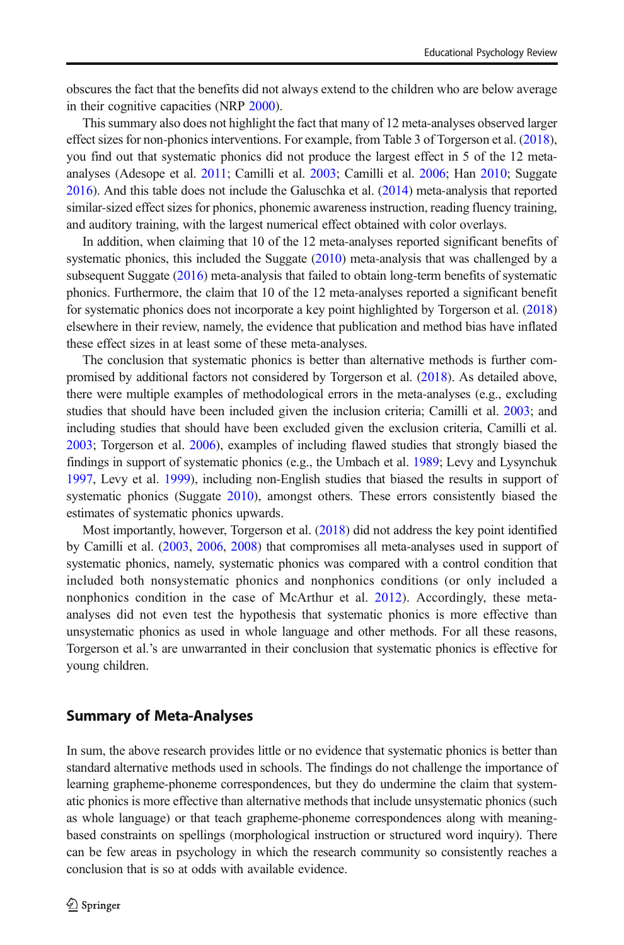obscures the fact that the benefits did not always extend to the children who are below average in their cognitive capacities (NRP [2000\)](#page-24-0).

This summary also does not highlight the fact that many of 12 meta-analyses observed larger effect sizes for non-phonics interventions. For example, from Table 3 of Torgerson et al. ([2018](#page-24-0)), you find out that systematic phonics did not produce the largest effect in 5 of the 12 metaanalyses (Adesope et al. [2011;](#page-22-0) Camilli et al. [2003;](#page-23-0) Camilli et al. [2006;](#page-23-0) Han [2010](#page-23-0); Suggate [2016](#page-24-0)). And this table does not include the Galuschka et al. [\(2014\)](#page-23-0) meta-analysis that reported similar-sized effect sizes for phonics, phonemic awareness instruction, reading fluency training, and auditory training, with the largest numerical effect obtained with color overlays.

In addition, when claiming that 10 of the 12 meta-analyses reported significant benefits of systematic phonics, this included the Suggate  $(2010)$  meta-analysis that was challenged by a subsequent Suggate ([2016](#page-24-0)) meta-analysis that failed to obtain long-term benefits of systematic phonics. Furthermore, the claim that 10 of the 12 meta-analyses reported a significant benefit for systematic phonics does not incorporate a key point highlighted by Torgerson et al. [\(2018\)](#page-24-0) elsewhere in their review, namely, the evidence that publication and method bias have inflated these effect sizes in at least some of these meta-analyses.

The conclusion that systematic phonics is better than alternative methods is further compromised by additional factors not considered by Torgerson et al. ([2018](#page-24-0)). As detailed above, there were multiple examples of methodological errors in the meta-analyses (e.g., excluding studies that should have been included given the inclusion criteria; Camilli et al. [2003](#page-23-0); and including studies that should have been excluded given the exclusion criteria, Camilli et al. [2003](#page-23-0); Torgerson et al. [2006\)](#page-24-0), examples of including flawed studies that strongly biased the findings in support of systematic phonics (e.g., the Umbach et al. [1989](#page-24-0); Levy and Lysynchuk [1997](#page-23-0), Levy et al. [1999](#page-23-0)), including non-English studies that biased the results in support of systematic phonics (Suggate [2010\)](#page-24-0), amongst others. These errors consistently biased the estimates of systematic phonics upwards.

Most importantly, however, Torgerson et al. ([2018](#page-24-0)) did not address the key point identified by Camilli et al. ([2003](#page-23-0), [2006](#page-23-0), [2008](#page-23-0)) that compromises all meta-analyses used in support of systematic phonics, namely, systematic phonics was compared with a control condition that included both nonsystematic phonics and nonphonics conditions (or only included a nonphonics condition in the case of McArthur et al. [2012](#page-23-0)). Accordingly, these metaanalyses did not even test the hypothesis that systematic phonics is more effective than unsystematic phonics as used in whole language and other methods. For all these reasons, Torgerson et al.'s are unwarranted in their conclusion that systematic phonics is effective for young children.

#### Summary of Meta-Analyses

In sum, the above research provides little or no evidence that systematic phonics is better than standard alternative methods used in schools. The findings do not challenge the importance of learning grapheme-phoneme correspondences, but they do undermine the claim that systematic phonics is more effective than alternative methods that include unsystematic phonics (such as whole language) or that teach grapheme-phoneme correspondences along with meaningbased constraints on spellings (morphological instruction or structured word inquiry). There can be few areas in psychology in which the research community so consistently reaches a conclusion that is so at odds with available evidence.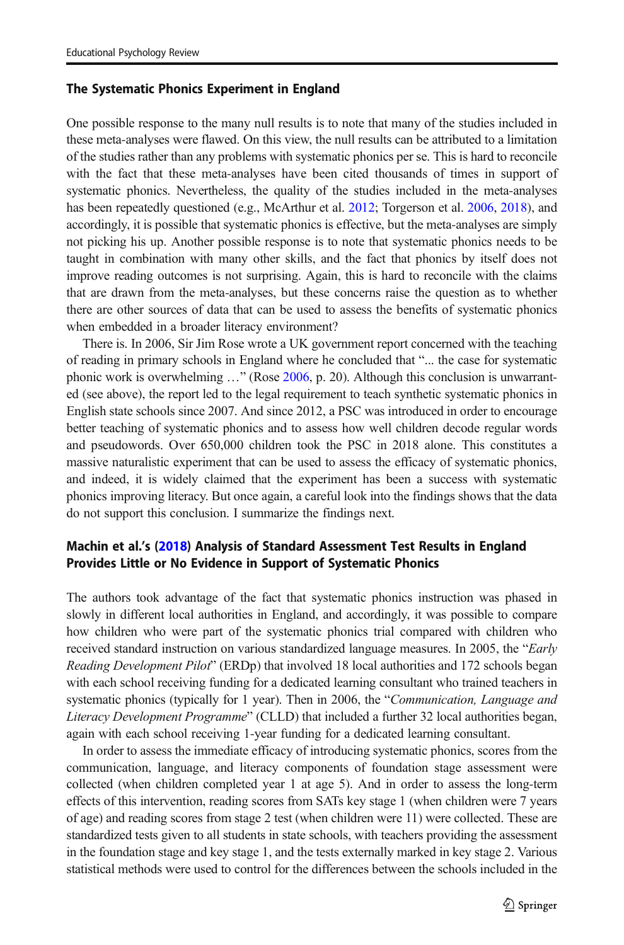#### The Systematic Phonics Experiment in England

One possible response to the many null results is to note that many of the studies included in these meta-analyses were flawed. On this view, the null results can be attributed to a limitation of the studies rather than any problems with systematic phonics per se. This is hard to reconcile with the fact that these meta-analyses have been cited thousands of times in support of systematic phonics. Nevertheless, the quality of the studies included in the meta-analyses has been repeatedly questioned (e.g., McArthur et al. [2012](#page-23-0); Torgerson et al. [2006,](#page-24-0) [2018](#page-24-0)), and accordingly, it is possible that systematic phonics is effective, but the meta-analyses are simply not picking his up. Another possible response is to note that systematic phonics needs to be taught in combination with many other skills, and the fact that phonics by itself does not improve reading outcomes is not surprising. Again, this is hard to reconcile with the claims that are drawn from the meta-analyses, but these concerns raise the question as to whether there are other sources of data that can be used to assess the benefits of systematic phonics when embedded in a broader literacy environment?

There is. In 2006, Sir Jim Rose wrote a UK government report concerned with the teaching of reading in primary schools in England where he concluded that "... the case for systematic phonic work is overwhelming …" (Rose [2006,](#page-24-0) p. 20). Although this conclusion is unwarranted (see above), the report led to the legal requirement to teach synthetic systematic phonics in English state schools since 2007. And since 2012, a PSC was introduced in order to encourage better teaching of systematic phonics and to assess how well children decode regular words and pseudowords. Over 650,000 children took the PSC in 2018 alone. This constitutes a massive naturalistic experiment that can be used to assess the efficacy of systematic phonics, and indeed, it is widely claimed that the experiment has been a success with systematic phonics improving literacy. But once again, a careful look into the findings shows that the data do not support this conclusion. I summarize the findings next.

# Machin et al.'s ([2018\)](#page-23-0) Analysis of Standard Assessment Test Results in England Provides Little or No Evidence in Support of Systematic Phonics

The authors took advantage of the fact that systematic phonics instruction was phased in slowly in different local authorities in England, and accordingly, it was possible to compare how children who were part of the systematic phonics trial compared with children who received standard instruction on various standardized language measures. In 2005, the "Early Reading Development Pilot" (ERDp) that involved 18 local authorities and 172 schools began with each school receiving funding for a dedicated learning consultant who trained teachers in systematic phonics (typically for 1 year). Then in 2006, the "Communication, Language and Literacy Development Programme" (CLLD) that included a further 32 local authorities began, again with each school receiving 1-year funding for a dedicated learning consultant.

In order to assess the immediate efficacy of introducing systematic phonics, scores from the communication, language, and literacy components of foundation stage assessment were collected (when children completed year 1 at age 5). And in order to assess the long-term effects of this intervention, reading scores from SATs key stage 1 (when children were 7 years of age) and reading scores from stage 2 test (when children were 11) were collected. These are standardized tests given to all students in state schools, with teachers providing the assessment in the foundation stage and key stage 1, and the tests externally marked in key stage 2. Various statistical methods were used to control for the differences between the schools included in the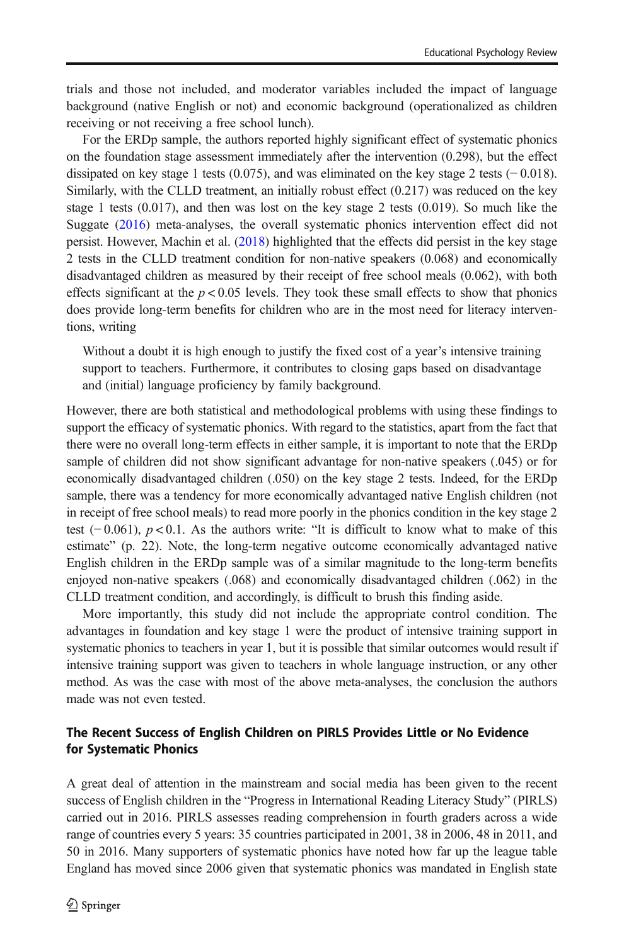trials and those not included, and moderator variables included the impact of language background (native English or not) and economic background (operationalized as children receiving or not receiving a free school lunch).

For the ERDp sample, the authors reported highly significant effect of systematic phonics on the foundation stage assessment immediately after the intervention (0.298), but the effect dissipated on key stage 1 tests (0.075), and was eliminated on the key stage 2 tests (− 0.018). Similarly, with the CLLD treatment, an initially robust effect (0.217) was reduced on the key stage 1 tests  $(0.017)$ , and then was lost on the key stage 2 tests  $(0.019)$ . So much like the Suggate [\(2016\)](#page-24-0) meta-analyses, the overall systematic phonics intervention effect did not persist. However, Machin et al. [\(2018\)](#page-23-0) highlighted that the effects did persist in the key stage 2 tests in the CLLD treatment condition for non-native speakers (0.068) and economically disadvantaged children as measured by their receipt of free school meals (0.062), with both effects significant at the  $p < 0.05$  levels. They took these small effects to show that phonics does provide long-term benefits for children who are in the most need for literacy interventions, writing

Without a doubt it is high enough to justify the fixed cost of a year's intensive training support to teachers. Furthermore, it contributes to closing gaps based on disadvantage and (initial) language proficiency by family background.

However, there are both statistical and methodological problems with using these findings to support the efficacy of systematic phonics. With regard to the statistics, apart from the fact that there were no overall long-term effects in either sample, it is important to note that the ERDp sample of children did not show significant advantage for non-native speakers (.045) or for economically disadvantaged children (.050) on the key stage 2 tests. Indeed, for the ERDp sample, there was a tendency for more economically advantaged native English children (not in receipt of free school meals) to read more poorly in the phonics condition in the key stage 2 test (−0.061),  $p < 0.1$ . As the authors write: "It is difficult to know what to make of this estimate" (p. 22). Note, the long-term negative outcome economically advantaged native English children in the ERDp sample was of a similar magnitude to the long-term benefits enjoyed non-native speakers (.068) and economically disadvantaged children (.062) in the CLLD treatment condition, and accordingly, is difficult to brush this finding aside.

More importantly, this study did not include the appropriate control condition. The advantages in foundation and key stage 1 were the product of intensive training support in systematic phonics to teachers in year 1, but it is possible that similar outcomes would result if intensive training support was given to teachers in whole language instruction, or any other method. As was the case with most of the above meta-analyses, the conclusion the authors made was not even tested.

# The Recent Success of English Children on PIRLS Provides Little or No Evidence for Systematic Phonics

A great deal of attention in the mainstream and social media has been given to the recent success of English children in the "Progress in International Reading Literacy Study" (PIRLS) carried out in 2016. PIRLS assesses reading comprehension in fourth graders across a wide range of countries every 5 years: 35 countries participated in 2001, 38 in 2006, 48 in 2011, and 50 in 2016. Many supporters of systematic phonics have noted how far up the league table England has moved since 2006 given that systematic phonics was mandated in English state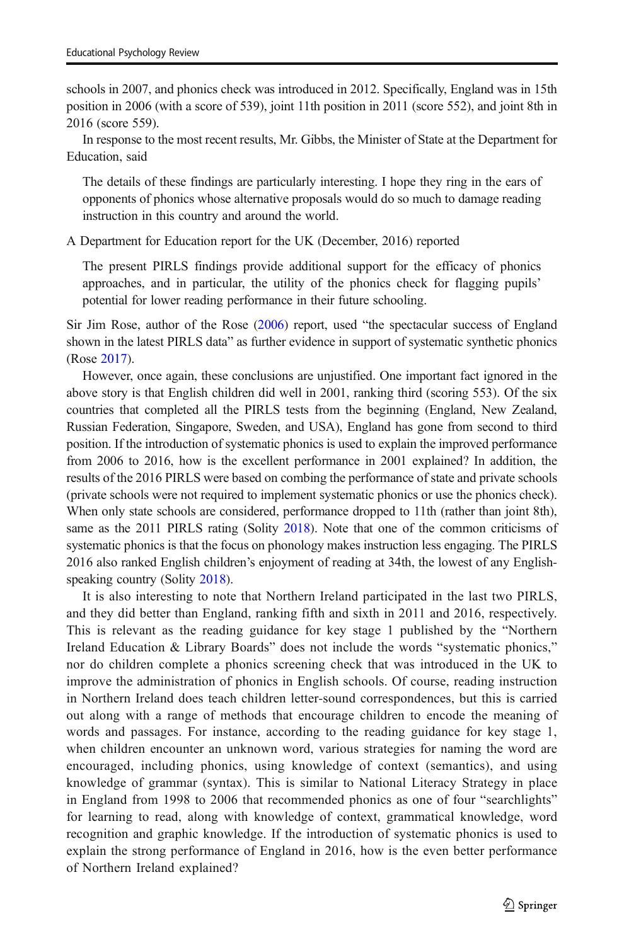schools in 2007, and phonics check was introduced in 2012. Specifically, England was in 15th position in 2006 (with a score of 539), joint 11th position in 2011 (score 552), and joint 8th in 2016 (score 559).

In response to the most recent results, Mr. Gibbs, the Minister of State at the Department for Education, said

The details of these findings are particularly interesting. I hope they ring in the ears of opponents of phonics whose alternative proposals would do so much to damage reading instruction in this country and around the world.

A Department for Education report for the UK (December, 2016) reported

The present PIRLS findings provide additional support for the efficacy of phonics approaches, and in particular, the utility of the phonics check for flagging pupils' potential for lower reading performance in their future schooling.

Sir Jim Rose, author of the Rose ([2006](#page-24-0)) report, used "the spectacular success of England shown in the latest PIRLS data" as further evidence in support of systematic synthetic phonics (Rose [2017\)](#page-24-0).

However, once again, these conclusions are unjustified. One important fact ignored in the above story is that English children did well in 2001, ranking third (scoring 553). Of the six countries that completed all the PIRLS tests from the beginning (England, New Zealand, Russian Federation, Singapore, Sweden, and USA), England has gone from second to third position. If the introduction of systematic phonics is used to explain the improved performance from 2006 to 2016, how is the excellent performance in 2001 explained? In addition, the results of the 2016 PIRLS were based on combing the performance of state and private schools (private schools were not required to implement systematic phonics or use the phonics check). When only state schools are considered, performance dropped to 11th (rather than joint 8th), same as the 2011 PIRLS rating (Solity [2018](#page-24-0)). Note that one of the common criticisms of systematic phonics is that the focus on phonology makes instruction less engaging. The PIRLS 2016 also ranked English children's enjoyment of reading at 34th, the lowest of any English-speaking country (Solity [2018](#page-24-0)).

It is also interesting to note that Northern Ireland participated in the last two PIRLS, and they did better than England, ranking fifth and sixth in 2011 and 2016, respectively. This is relevant as the reading guidance for key stage 1 published by the "Northern Ireland Education & Library Boards" does not include the words "systematic phonics," nor do children complete a phonics screening check that was introduced in the UK to improve the administration of phonics in English schools. Of course, reading instruction in Northern Ireland does teach children letter-sound correspondences, but this is carried out along with a range of methods that encourage children to encode the meaning of words and passages. For instance, according to the reading guidance for key stage 1, when children encounter an unknown word, various strategies for naming the word are encouraged, including phonics, using knowledge of context (semantics), and using knowledge of grammar (syntax). This is similar to National Literacy Strategy in place in England from 1998 to 2006 that recommended phonics as one of four "searchlights" for learning to read, along with knowledge of context, grammatical knowledge, word recognition and graphic knowledge. If the introduction of systematic phonics is used to explain the strong performance of England in 2016, how is the even better performance of Northern Ireland explained?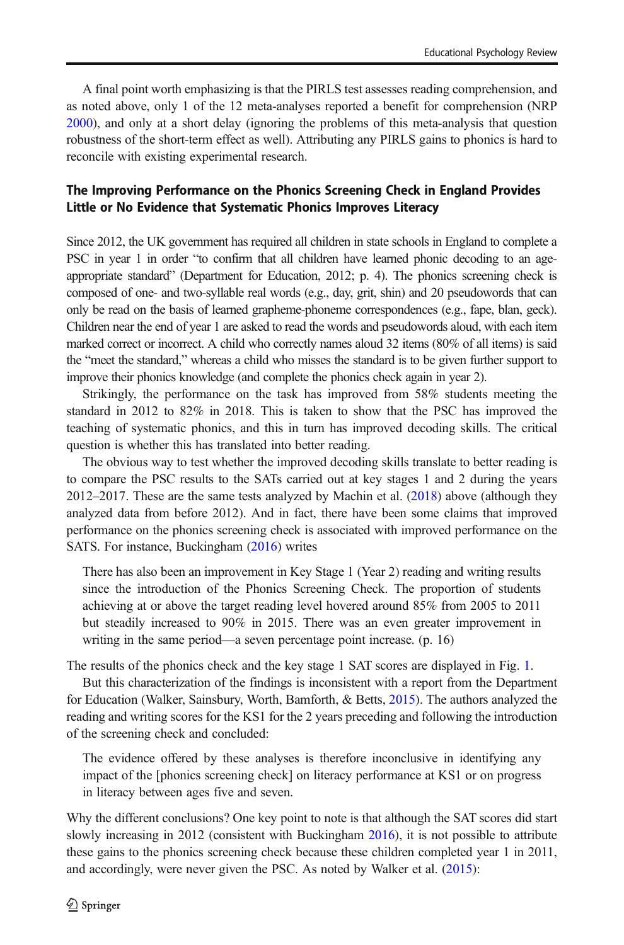A final point worth emphasizing is that the PIRLS test assesses reading comprehension, and as noted above, only 1 of the 12 meta-analyses reported a benefit for comprehension (NRP [2000](#page-24-0)), and only at a short delay (ignoring the problems of this meta-analysis that question robustness of the short-term effect as well). Attributing any PIRLS gains to phonics is hard to reconcile with existing experimental research.

# The Improving Performance on the Phonics Screening Check in England Provides Little or No Evidence that Systematic Phonics Improves Literacy

Since 2012, the UK government has required all children in state schools in England to complete a PSC in year 1 in order "to confirm that all children have learned phonic decoding to an ageappropriate standard" (Department for Education, 2012; p. 4). The phonics screening check is composed of one- and two-syllable real words (e.g., day, grit, shin) and 20 pseudowords that can only be read on the basis of learned grapheme-phoneme correspondences (e.g., fape, blan, geck). Children near the end of year 1 are asked to read the words and pseudowords aloud, with each item marked correct or incorrect. A child who correctly names aloud 32 items (80% of all items) is said the "meet the standard," whereas a child who misses the standard is to be given further support to improve their phonics knowledge (and complete the phonics check again in year 2).

Strikingly, the performance on the task has improved from 58% students meeting the standard in 2012 to 82% in 2018. This is taken to show that the PSC has improved the teaching of systematic phonics, and this in turn has improved decoding skills. The critical question is whether this has translated into better reading.

The obvious way to test whether the improved decoding skills translate to better reading is to compare the PSC results to the SATs carried out at key stages 1 and 2 during the years 2012–2017. These are the same tests analyzed by Machin et al. ([2018](#page-23-0)) above (although they analyzed data from before 2012). And in fact, there have been some claims that improved performance on the phonics screening check is associated with improved performance on the SATS. For instance, Buckingham ([2016](#page-22-0)) writes

There has also been an improvement in Key Stage 1 (Year 2) reading and writing results since the introduction of the Phonics Screening Check. The proportion of students achieving at or above the target reading level hovered around 85% from 2005 to 2011 but steadily increased to 90% in 2015. There was an even greater improvement in writing in the same period—a seven percentage point increase. (p. 16)

The results of the phonics check and the key stage 1 SAT scores are displayed in Fig. [1.](#page-20-0)

But this characterization of the findings is inconsistent with a report from the Department for Education (Walker, Sainsbury, Worth, Bamforth, & Betts, [2015\)](#page-24-0). The authors analyzed the reading and writing scores for the KS1 for the 2 years preceding and following the introduction of the screening check and concluded:

The evidence offered by these analyses is therefore inconclusive in identifying any impact of the [phonics screening check] on literacy performance at KS1 or on progress in literacy between ages five and seven.

Why the different conclusions? One key point to note is that although the SAT scores did start slowly increasing in 2012 (consistent with Buckingham [2016](#page-22-0)), it is not possible to attribute these gains to the phonics screening check because these children completed year 1 in 2011, and accordingly, were never given the PSC. As noted by Walker et al. [\(2015\)](#page-24-0):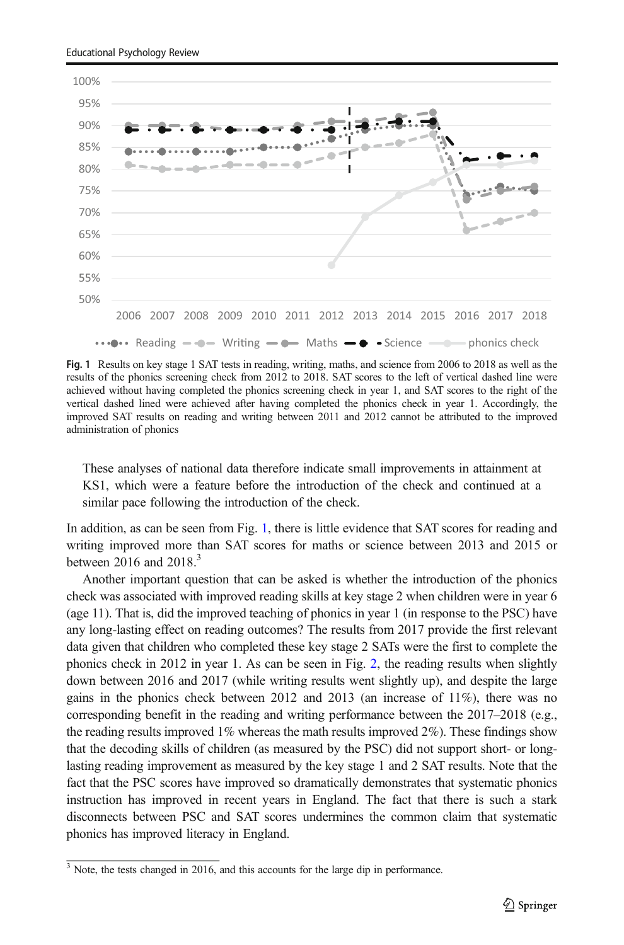<span id="page-20-0"></span>

Fig. 1 Results on key stage 1 SAT tests in reading, writing, maths, and science from 2006 to 2018 as well as the results of the phonics screening check from 2012 to 2018. SAT scores to the left of vertical dashed line were achieved without having completed the phonics screening check in year 1, and SAT scores to the right of the vertical dashed lined were achieved after having completed the phonics check in year 1. Accordingly, the improved SAT results on reading and writing between 2011 and 2012 cannot be attributed to the improved administration of phonics

These analyses of national data therefore indicate small improvements in attainment at KS1, which were a feature before the introduction of the check and continued at a similar pace following the introduction of the check.

In addition, as can be seen from Fig. 1, there is little evidence that SAT scores for reading and writing improved more than SAT scores for maths or science between 2013 and 2015 or between 2016 and  $2018<sup>3</sup>$ 

Another important question that can be asked is whether the introduction of the phonics check was associated with improved reading skills at key stage 2 when children were in year 6 (age 11). That is, did the improved teaching of phonics in year 1 (in response to the PSC) have any long-lasting effect on reading outcomes? The results from 2017 provide the first relevant data given that children who completed these key stage 2 SATs were the first to complete the phonics check in 2012 in year 1. As can be seen in Fig. [2,](#page-21-0) the reading results when slightly down between 2016 and 2017 (while writing results went slightly up), and despite the large gains in the phonics check between 2012 and 2013 (an increase of  $11\%$ ), there was no corresponding benefit in the reading and writing performance between the 2017–2018 (e.g., the reading results improved 1% whereas the math results improved 2%). These findings show that the decoding skills of children (as measured by the PSC) did not support short- or longlasting reading improvement as measured by the key stage 1 and 2 SAT results. Note that the fact that the PSC scores have improved so dramatically demonstrates that systematic phonics instruction has improved in recent years in England. The fact that there is such a stark disconnects between PSC and SAT scores undermines the common claim that systematic phonics has improved literacy in England.

 $\frac{3}{3}$  Note, the tests changed in 2016, and this accounts for the large dip in performance.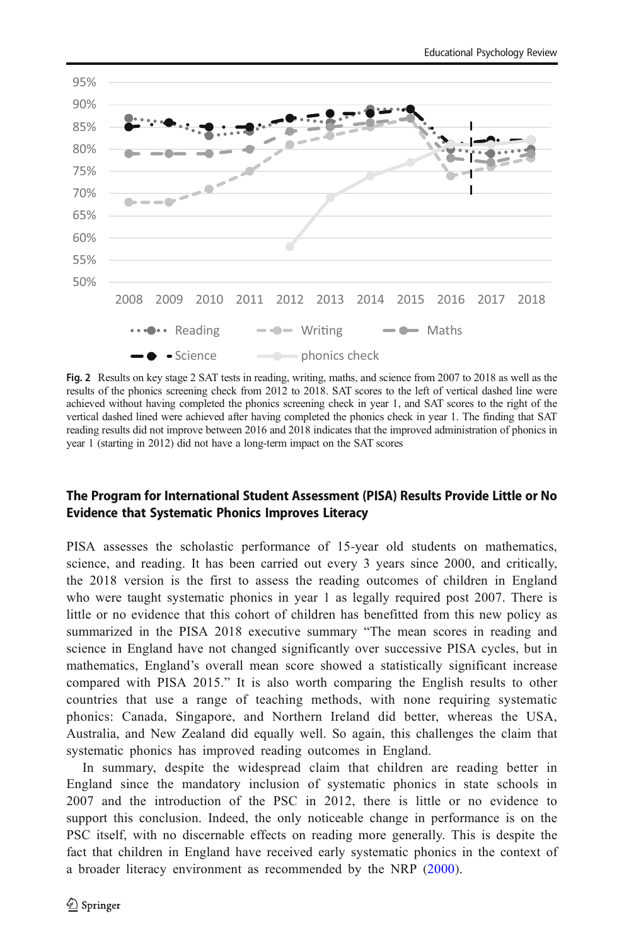<span id="page-21-0"></span>

Fig. 2 Results on key stage 2 SAT tests in reading, writing, maths, and science from 2007 to 2018 as well as the results of the phonics screening check from 2012 to 2018. SAT scores to the left of vertical dashed line were achieved without having completed the phonics screening check in year 1, and SAT scores to the right of the vertical dashed lined were achieved after having completed the phonics check in year 1. The finding that SAT reading results did not improve between 2016 and 2018 indicates that the improved administration of phonics in year 1 (starting in 2012) did not have a long-term impact on the SAT scores

# The Program for International Student Assessment (PISA) Results Provide Little or No Evidence that Systematic Phonics Improves Literacy

PISA assesses the scholastic performance of 15-year old students on mathematics, science, and reading. It has been carried out every 3 years since 2000, and critically, the 2018 version is the first to assess the reading outcomes of children in England who were taught systematic phonics in year 1 as legally required post 2007. There is little or no evidence that this cohort of children has benefitted from this new policy as summarized in the PISA 2018 executive summary "The mean scores in reading and science in England have not changed significantly over successive PISA cycles, but in mathematics, England's overall mean score showed a statistically significant increase compared with PISA 2015." It is also worth comparing the English results to other countries that use a range of teaching methods, with none requiring systematic phonics: Canada, Singapore, and Northern Ireland did better, whereas the USA, Australia, and New Zealand did equally well. So again, this challenges the claim that systematic phonics has improved reading outcomes in England.

In summary, despite the widespread claim that children are reading better in England since the mandatory inclusion of systematic phonics in state schools in 2007 and the introduction of the PSC in 2012, there is little or no evidence to support this conclusion. Indeed, the only noticeable change in performance is on the PSC itself, with no discernable effects on reading more generally. This is despite the fact that children in England have received early systematic phonics in the context of a broader literacy environment as recommended by the NRP [\(2000](#page-24-0)).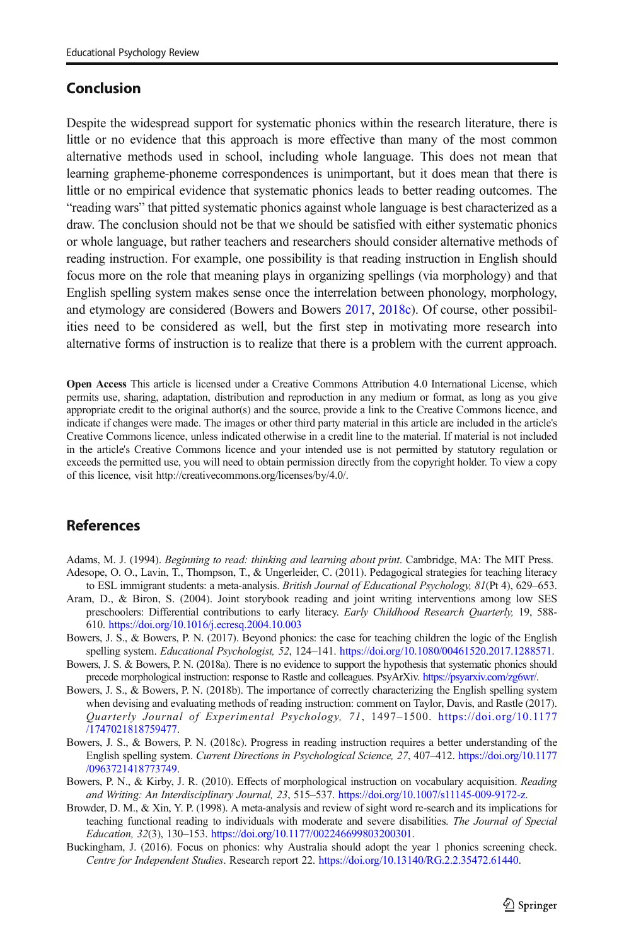# <span id="page-22-0"></span>Conclusion

Despite the widespread support for systematic phonics within the research literature, there is little or no evidence that this approach is more effective than many of the most common alternative methods used in school, including whole language. This does not mean that learning grapheme-phoneme correspondences is unimportant, but it does mean that there is little or no empirical evidence that systematic phonics leads to better reading outcomes. The "reading wars" that pitted systematic phonics against whole language is best characterized as a draw. The conclusion should not be that we should be satisfied with either systematic phonics or whole language, but rather teachers and researchers should consider alternative methods of reading instruction. For example, one possibility is that reading instruction in English should focus more on the role that meaning plays in organizing spellings (via morphology) and that English spelling system makes sense once the interrelation between phonology, morphology, and etymology are considered (Bowers and Bowers 2017, 2018c). Of course, other possibilities need to be considered as well, but the first step in motivating more research into alternative forms of instruction is to realize that there is a problem with the current approach.

Open Access This article is licensed under a Creative Commons Attribution 4.0 International License, which permits use, sharing, adaptation, distribution and reproduction in any medium or format, as long as you give appropriate credit to the original author(s) and the source, provide a link to the Creative Commons licence, and indicate if changes were made. The images or other third party material in this article are included in the article's Creative Commons licence, unless indicated otherwise in a credit line to the material. If material is not included in the article's Creative Commons licence and your intended use is not permitted by statutory regulation or exceeds the permitted use, you will need to obtain permission directly from the copyright holder. To view a copy of this licence, visit http://creativecommons.org/licenses/by/4.0/.

# **References**

- Adams, M. J. (1994). *Beginning to read: thinking and learning about print*. Cambridge, MA: The MIT Press. Adesope, O. O., Lavin, T., Thompson, T., & Ungerleider, C. (2011). Pedagogical strategies for teaching literacy
- to ESL immigrant students: a meta-analysis. British Journal of Educational Psychology, 81(Pt 4), 629-653. Aram, D., & Biron, S. (2004). Joint storybook reading and joint writing interventions among low SES preschoolers: Differential contributions to early literacy. Early Childhood Research Quarterly, 19, 588- 610. <https://doi.org/10.1016/j.ecresq.2004.10.003>
- Bowers, J. S., & Bowers, P. N. (2017). Beyond phonics: the case for teaching children the logic of the English spelling system. *Educational Psychologist*, 52, 124–141. [https://doi.org/10.1080/00461520.2017.1288571.](https://doi.org/10.1016/j.ecresq.2004.10.003)
- Bowers, J. S. & Bowers, P. N. (2018a). There is no evidence to support the hypothesis that systematic phonics should precede morphological instruction: response to Rastle and colleagues. PsyArXiv. [https://psyarxiv.com/zg6wr/.](https://psyarxiv.com/zg6wr/)
- Bowers, J. S., & Bowers, P. N. (2018b). The importance of correctly characterizing the English spelling system when devising and evaluating methods of reading instruction: comment on Taylor, Davis, and Rastle (2017). Quarterly Journal of Experimental Psychology, 71, 1497–1500. [https://doi.org/10.1177](https://doi.org/10.1177/1747021818759477) [/1747021818759477.](https://doi.org/10.1177/1747021818759477)
- Bowers, J. S., & Bowers, P. N. (2018c). Progress in reading instruction requires a better understanding of the English spelling system. Current Directions in Psychological Science, 27, 407–412. [https://doi.org/10.1177](https://doi.org/10.1177/0963721418773749) [/0963721418773749.](https://doi.org/10.1177/0963721418773749)
- Bowers, P. N., & Kirby, J. R. (2010). Effects of morphological instruction on vocabulary acquisition. Reading and Writing: An Interdisciplinary Journal, 23, 515–537. <https://doi.org/10.1007/s11145-009-9172-z>.
- Browder, D. M., & Xin, Y. P. (1998). A meta-analysis and review of sight word re-search and its implications for teaching functional reading to individuals with moderate and severe disabilities. The Journal of Special Education, 32(3), 130–153. <https://doi.org/10.1177/002246699803200301>.
- Buckingham, J. (2016). Focus on phonics: why Australia should adopt the year 1 phonics screening check. Centre for Independent Studies. Research report 22. <https://doi.org/10.13140/RG.2.2.35472.61440>.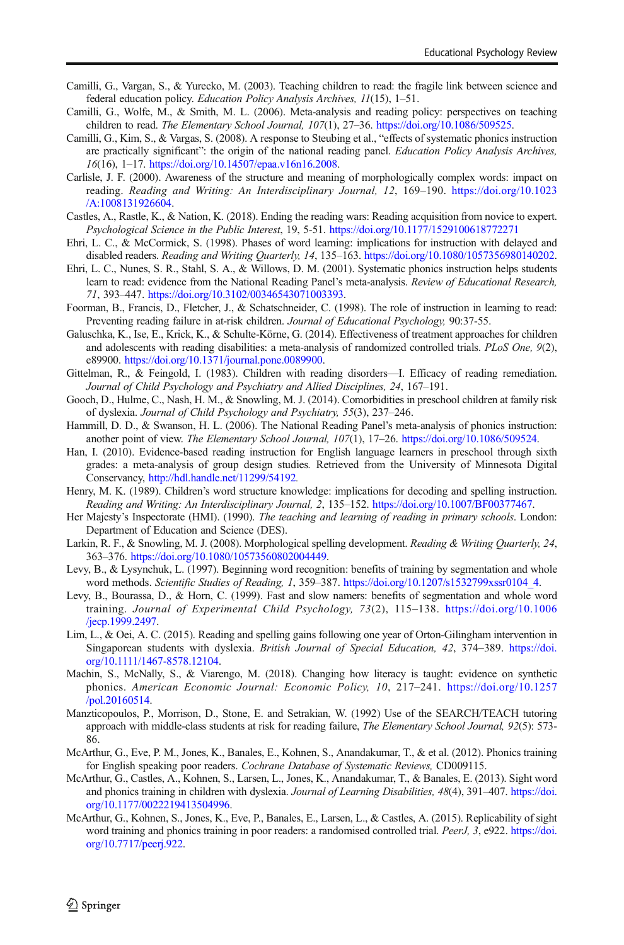- <span id="page-23-0"></span>Camilli, G., Vargan, S., & Yurecko, M. (2003). Teaching children to read: the fragile link between science and federal education policy. Education Policy Analysis Archives, 11(15), 1–51.
- Camilli, G., Wolfe, M., & Smith, M. L. (2006). Meta-analysis and reading policy: perspectives on teaching children to read. The Elementary School Journal, 107(1), 27–36. <https://doi.org/10.1086/509525>.
- Camilli, G., Kim, S., & Vargas, S. (2008). A response to Steubing et al., "effects of systematic phonics instruction are practically significant": the origin of the national reading panel. Education Policy Analysis Archives, 16(16), 1–17. [https://doi.org/10.14507/epaa.v16n16.2008.](https://doi.org/10.14507/epaa.v16n16.2008)
- Carlisle, J. F. (2000). Awareness of the structure and meaning of morphologically complex words: impact on reading. Reading and Writing: An Interdisciplinary Journal, 12, 169–190. [https://doi.org/10.1023](https://doi.org/10.1023/A:1008131926604) [/A:1008131926604.](https://doi.org/10.1023/A:1008131926604)
- Castles, A., Rastle, K., & Nation, K. (2018). Ending the reading wars: Reading acquisition from novice to expert. Psychological Science in the Public Interest, 19, 5-51. <https://doi.org/10.1177/1529100618772271>
- Ehri, L. C., & McCormick, S. (1998). Phases of word learning: implications for instruction with delayed and disabled readers. Reading and Writing Quarterly, 14, 135–163. [https://doi.org/10.1080/1057356980140202.](https://doi.org/10.1177/1529100618772271)
- Ehri, L. C., Nunes, S. R., Stahl, S. A., & Willows, D. M. (2001). Systematic phonics instruction helps students learn to read: evidence from the National Reading Panel's meta-analysis. Review of Educational Research, 71, 393–447. <https://doi.org/10.3102/00346543071003393>.
- Foorman, B., Francis, D., Fletcher, J., & Schatschneider, C. (1998). The role of instruction in learning to read: Preventing reading failure in at-risk children. Journal of Educational Psychology, 90:37-55.
- Galuschka, K., Ise, E., Krick, K., & Schulte-Körne, G. (2014). Effectiveness of treatment approaches for children and adolescents with reading disabilities: a meta-analysis of randomized controlled trials. PLoS One, 9(2), e89900. <https://doi.org/10.1371/journal.pone.0089900>.
- Gittelman, R., & Feingold, I. (1983). Children with reading disorders—I. Efficacy of reading remediation. Journal of Child Psychology and Psychiatry and Allied Disciplines, 24, 167–191.
- Gooch, D., Hulme, C., Nash, H. M., & Snowling, M. J. (2014). Comorbidities in preschool children at family risk of dyslexia. Journal of Child Psychology and Psychiatry, 55(3), 237–246.
- Hammill, D. D., & Swanson, H. L. (2006). The National Reading Panel's meta-analysis of phonics instruction: another point of view. The Elementary School Journal, 107(1), 17–26. <https://doi.org/10.1086/509524>.
- Han, I. (2010). Evidence-based reading instruction for English language learners in preschool through sixth grades: a meta-analysis of group design studies. Retrieved from the University of Minnesota Digital Conservancy, <http://hdl.handle.net/11299/54192>.
- Henry, M. K. (1989). Children's word structure knowledge: implications for decoding and spelling instruction. Reading and Writing: An Interdisciplinary Journal, 2, 135–152. [https://doi.org/10.1007/BF00377467.](https://doi.org/10.1007/BF00377467)
- Her Majesty's Inspectorate (HMI). (1990). The teaching and learning of reading in primary schools. London: Department of Education and Science (DES).
- Larkin, R. F., & Snowling, M. J. (2008). Morphological spelling development. Reading & Writing Quarterly, 24, 363–376. <https://doi.org/10.1080/10573560802004449>.
- Levy, B., & Lysynchuk, L. (1997). Beginning word recognition: benefits of training by segmentation and whole word methods. Scientific Studies of Reading, 1, 359–387. [https://doi.org/10.1207/s1532799xssr0104\\_4.](https://doi.org/10.1207/s1532799xssr0104_4)
- Levy, B., Bourassa, D., & Horn, C. (1999). Fast and slow namers: benefits of segmentation and whole word training. Journal of Experimental Child Psychology, 73(2), 115–138. [https://doi.org/10.1006](https://doi.org/10.1006/jecp.1999.2497) [/jecp.1999.2497](https://doi.org/10.1006/jecp.1999.2497).
- Lim, L., & Oei, A. C. (2015). Reading and spelling gains following one year of Orton-Gilingham intervention in Singaporean students with dyslexia. British Journal of Special Education, 42, 374–389. [https://doi.](https://doi.org/10.1111/1467-8578.12104) [org/10.1111/1467-8578.12104](https://doi.org/10.1111/1467-8578.12104).
- Machin, S., McNally, S., & Viarengo, M. (2018). Changing how literacy is taught: evidence on synthetic phonics. American Economic Journal: Economic Policy, 10, 217–241. [https://doi.org/10.1257](https://doi.org/10.1257/pol.20160514) [/pol.20160514](https://doi.org/10.1257/pol.20160514).
- Manzticopoulos, P., Morrison, D., Stone, E. and Setrakian, W. (1992) Use of the SEARCH/TEACH tutoring approach with middle-class students at risk for reading failure, The Elementary School Journal, 92(5): 573- 86.
- McArthur, G., Eve, P. M., Jones, K., Banales, E., Kohnen, S., Anandakumar, T., & et al. (2012). Phonics training for English speaking poor readers. Cochrane Database of Systematic Reviews, CD009115.
- McArthur, G., Castles, A., Kohnen, S., Larsen, L., Jones, K., Anandakumar, T., & Banales, E. (2013). Sight word and phonics training in children with dyslexia. Journal of Learning Disabilities, 48(4), 391–407. [https://doi.](https://doi.org/10.1016/j.ecresq.2004.10.003) [org/10.1177/0022219413504996.](https://doi.org/10.1016/j.ecresq.2004.10.003)
- McArthur, G., Kohnen, S., Jones, K., Eve, P., Banales, E., Larsen, L., & Castles, A. (2015). Replicability of sight word training and phonics training in poor readers: a randomised controlled trial. PeerJ, 3, e922. [https://doi.](https://doi.org/10.7717/peerj.922) [org/10.7717/peerj.922.](https://doi.org/10.7717/peerj.922)